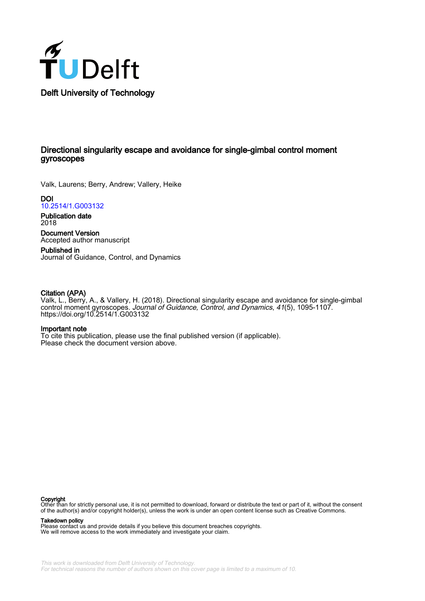

# Directional singularity escape and avoidance for single-gimbal control moment gyroscopes

Valk, Laurens; Berry, Andrew; Vallery, Heike

DOI [10.2514/1.G003132](https://doi.org/10.2514/1.G003132)

Publication date 2018

Document Version Accepted author manuscript

Published in Journal of Guidance, Control, and Dynamics

# Citation (APA)

Valk, L., Berry, A., & Vallery, H. (2018). Directional singularity escape and avoidance for single-gimbal control moment gyroscopes. Journal of Guidance, Control, and Dynamics, 41(5), 1095-1107. <https://doi.org/10.2514/1.G003132>

# Important note

To cite this publication, please use the final published version (if applicable). Please check the document version above.

## Copyright

Other than for strictly personal use, it is not permitted to download, forward or distribute the text or part of it, without the consent of the author(s) and/or copyright holder(s), unless the work is under an open content license such as Creative Commons.

# Takedown policy

Please contact us and provide details if you believe this document breaches copyrights. We will remove access to the work immediately and investigate your claim.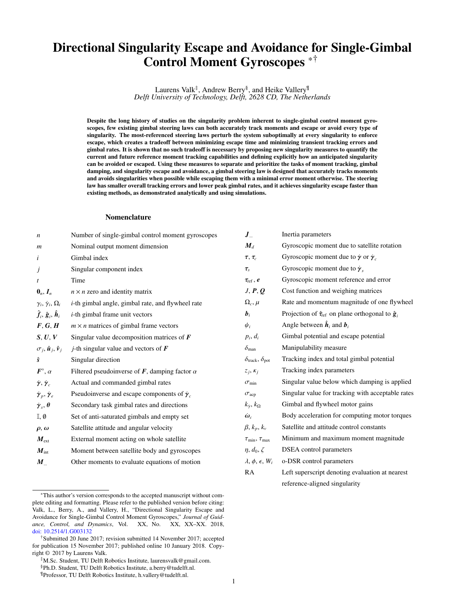# Directional Singularity Escape and Avoidance for Single-Gimbal Control Moment Gyroscopes \*†

Laurens Valk<sup>‡</sup>, Andrew Berry<sup>§</sup>, and Heike Vallery<sup>¶</sup> *Delft University of Technology, Delft, 2628 CD, The Netherlands*

Despite the long history of studies on the singularity problem inherent to single-gimbal control moment gyroscopes, few existing gimbal steering laws can both accurately track moments and escape or avoid every type of singularity. The most-referenced steering laws perturb the system suboptimally at every singularity to enforce escape, which creates a tradeoff between minimizing escape time and minimizing transient tracking errors and gimbal rates. It is shown that no such tradeoff is necessary by proposing new singularity measures to quantify the current and future reference moment tracking capabilities and defining explicitly how an anticipated singularity can be avoided or escaped. Using these measures to separate and prioritize the tasks of moment tracking, gimbal damping, and singularity escape and avoidance, a gimbal steering law is designed that accurately tracks moments and avoids singularities when possible while escaping them with a minimal error moment otherwise. The steering law has smaller overall tracking errors and lower peak gimbal rates, and it achieves singularity escape faster than existing methods, as demonstrated analytically and using simulations.

# Nomenclature

| $\boldsymbol{n}$                                                               | Number of single-gimbal control moment gyroscopes            | $J_{\ldots}$                                 | Inertia parameters                                                  |
|--------------------------------------------------------------------------------|--------------------------------------------------------------|----------------------------------------------|---------------------------------------------------------------------|
| $\boldsymbol{m}$                                                               | Nominal output moment dimension                              | $M_d$                                        | Gyroscopic moment due to satellite rotation                         |
| i                                                                              | Gimbal index                                                 | $\tau, \tau_c$                               | Gyroscopic moment due to $\dot{\gamma}$ or $\dot{\gamma}_c$         |
| j                                                                              | Singular component index                                     | $\tau_{s}$                                   | Gyroscopic moment due to $\dot{\gamma}_s$                           |
| t                                                                              | Time                                                         | $\tau_{\rm ref}$ , e                         | Gyroscopic moment reference and error                               |
| $\mathbf{0}_n, I_n$                                                            | $n \times n$ zero and identity matrix                        | J, P, Q                                      | Cost function and weighing matrices                                 |
| $\gamma_i, \dot{\gamma}_i, \Omega_i$                                           | <i>i</i> -th gimbal angle, gimbal rate, and flywheel rate    | $\Omega_c, \mu$                              | Rate and momentum magnitude of one flywheel                         |
| $\hat{\boldsymbol{f}}_i$ , $\hat{\boldsymbol{g}}_i$ , $\hat{\boldsymbol{h}}_i$ | <i>i</i> -th gimbal frame unit vectors                       | $b_i$                                        | Projection of $\hat{\tau}_{ref}$ on plane orthogonal to $\hat{g}_i$ |
| F, G, H                                                                        | $m \times n$ matrices of gimbal frame vectors                | $\psi_i$                                     | Angle between $\hat{\boldsymbol{h}}_i$ and $\boldsymbol{b}_i$       |
| S, U, V                                                                        | Singular value decomposition matrices of $F$                 | $p_i, d_i$                                   | Gimbal potential and escape potential                               |
| $\sigma_j$ , $\hat{\boldsymbol{u}}_j$ , $\hat{\boldsymbol{v}}_j$               | <i>j</i> -th singular value and vectors of $\boldsymbol{F}$  | $\delta_{\text{man}}$                        | Manipulability measure                                              |
| ŝ                                                                              | Singular direction                                           | $\delta_{\text{track}}, \delta_{\text{pot}}$ | Tracking index and total gimbal potential                           |
| $\bm{F}^{\circ}, \alpha$                                                       | Filtered pseudoinverse of $\bm{F}$ , damping factor $\alpha$ | $z_i, \kappa_i$                              | Tracking index parameters                                           |
| $\dot{\gamma}, \dot{\gamma}_c$                                                 | Actual and commanded gimbal rates                            | $\sigma_{\min}$                              | Singular value below which damping is applied                       |
| $\dot{\boldsymbol{\gamma}}_p, \dot{\boldsymbol{\gamma}}_e$                     | Pseudoinverse and escape components of $\gamma_c$            | $\sigma_{\rm acp}$                           | Singular value for tracking with acceptable rates                   |
| $\dot{\gamma}_s, \theta$                                                       | Secondary task gimbal rates and directions                   | $k_{\dot{v}}, k_{\Omega}$                    | Gimbal and flywheel motor gains                                     |
| $\mathbb{I}, \emptyset$                                                        | Set of anti-saturated gimbals and empty set                  | $\dot{\omega}_c$                             | Body acceleration for computing motor torques                       |
| $\rho, \omega$                                                                 | Satellite attitude and angular velocity                      | $\beta, k_p, k_v$                            | Satellite and attitude control constants                            |
| $M_{\rm ext}$                                                                  | External moment acting on whole satellite                    | $\tau_{\min}, \tau_{\max}$                   | Minimum and maximum moment magnitude                                |
| $M_{\rm int}$                                                                  | Moment between satellite body and gyroscopes                 | $\eta, d_0, \zeta$                           | DSEA control parameters                                             |
| $M_{\ldots}$                                                                   | Other moments to evaluate equations of motion                | $\lambda, \phi, \epsilon, W_i$               | o-DSR control parameters                                            |
|                                                                                |                                                              | RA                                           | Left superscript denoting evaluation at nearest                     |

<sup>\*</sup>This author's version corresponds to the accepted manuscript without complete editing and formatting. Please refer to the published version before citing: Valk, L., Berry, A., and Vallery, H., "Directional Singularity Escape and Avoidance for Single-Gimbal Control Moment Gyroscopes," *Journal of Guidance, Control, and Dynamics*, Vol. XX, No. XX, XX–XX. 2018, [doi: 10.2514/1.G003132](http://doi.org/10.2514/1.G003132)

reference-aligned singularity

<sup>†</sup>Submitted 20 June 2017; revision submitted 14 November 2017; accepted for publication 15 November 2017; published online 10 January 2018. Copyright © 2017 by Laurens Valk.

<sup>‡</sup>M.Sc. Student, TU Delft Robotics Institute, laurensvalk@gmail.com. §Ph.D. Student, TU Delft Robotics Institute, a.berry@tudelft.nl.

<sup>¶</sup>Professor, TU Delft Robotics Institute, h.vallery@tudelft.nl.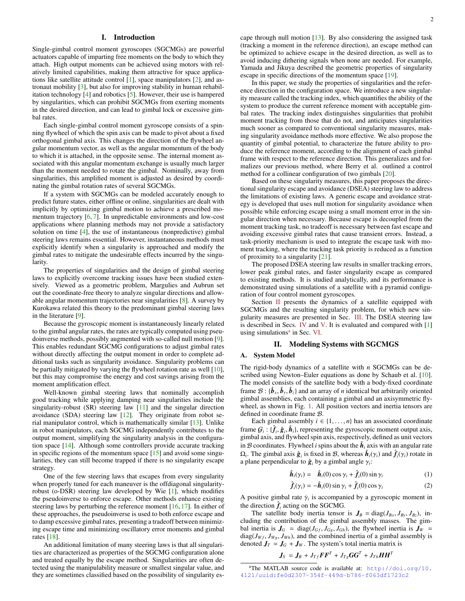# I. Introduction

Single-gimbal control moment gyroscopes (SGCMGs) are powerful actuators capable of imparting free moments on the body to which they attach. High output moments can be achieved using motors with relatively limited capabilities, making them attractive for space applications like satellite attitude control [\[1\]](#page-13-0), space manipulators [\[2\]](#page-13-1), and astronaut mobility [\[3\]](#page-13-2), but also for improving stability in human rehabilitation technology [\[4\]](#page-13-3) and robotics [\[5\]](#page-13-4). However, their use is hampered by singularities, which can prohibit SGCMGs from exerting moments in the desired direction, and can lead to gimbal lock or excessive gimbal rates.

Each single-gimbal control moment gyroscope consists of a spinning flywheel of which the spin axis can be made to pivot about a fixed orthogonal gimbal axis. This changes the direction of the flywheel angular momentum vector, as well as the angular momentum of the body to which it is attached, in the opposite sense. The internal moment associated with this angular momentum exchange is usually much larger than the moment needed to rotate the gimbal. Nominally, away from singularities, this amplified moment is adjusted as desired by coordinating the gimbal rotation rates of several SGCMGs.

If a system with SGCMGs can be modeled accurately enough to predict future states, either offline or online, singularities are dealt with implicitly by optimizing gimbal motion to achieve a prescribed momentum trajectory [\[6,](#page-13-5) [7\]](#page-13-6). In unpredictable environments and low-cost applications where planning methods may not provide a satisfactory solution on time [\[4\]](#page-13-3), the use of instantaneous (nonpredictive) gimbal steering laws remains essential. However, instantaneous methods must explicitly identify when a singularity is approached and modify the gimbal rates to mitigate the undesirable effects incurred by the singularity.

The properties of singularities and the design of gimbal steering laws to explicitly overcome tracking issues have been studied extensively. Viewed as a geometric problem, Margulies and Aubrun set out the coordinate-free theory to analyze singular directions and allowable angular momentum trajectories near singularities [\[8\]](#page-13-7). A survey by Kurokawa related this theory to the predominant gimbal steering laws in the literature [\[9\]](#page-13-8).

Because the gyroscopic moment is instantaneously linearly related to the gimbal angular rates, the rates are typically computed using pseudoinverse methods, possibly augmented with so-called null motion [\[9\]](#page-13-8). This enables redundant SGCMG configurations to adjust gimbal rates without directly affecting the output moment in order to complete additional tasks such as singularity avoidance. Singularity problems can be partially mitigated by varying the flywheel rotation rate as well [\[10\]](#page-13-9), but this may compromise the energy and cost savings arising from the moment amplification effect.

Well-known gimbal steering laws that nominally accomplish good tracking while applying damping near singularities include the singularity-robust (SR) steering law [\[11\]](#page-13-10) and the singular direction avoidance (SDA) steering law [\[12\]](#page-13-11). They originate from robot serial manipulator control, which is mathematically similar [\[13\]](#page-13-12). Unlike in robot manipulators, each SGCMG independently contributes to the output moment, simplifying the singularity analysis in the configuration space [\[14\]](#page-13-13). Although some controllers provide accurate tracking in specific regions of the momentum space  $[15]$  and avoid some singularities, they can still become trapped if there is no singularity escape strategy.

One of the few steering laws that escapes from every singularity when properly tuned for each maneuver is the offdiagonal singularityrobust (o-DSR) steering law developed by Wie [\[1\]](#page-13-0), which modifies the pseudoinverse to enforce escape. Other methods enhance existing steering laws by perturbing the reference moment [\[16,](#page-13-15) [17\]](#page-13-16). In either of these approaches, the pseudoinverse is used to both enforce escape and to damp excessive gimbal rates, presenting a tradeoff between minimizing escape time and minimizing oscillatory error moments and gimbal rates [\[18\]](#page-13-17).

An additional limitation of many steering laws is that all singularities are characterized as properties of the SGCMG configuration alone and treated equally by the escape method. Singularities are often detected using the manipulability measure or smallest singular value, and they are sometimes classified based on the possibility of singularity escape through null motion [\[13\]](#page-13-12). By also considering the assigned task (tracking a moment in the reference direction), an escape method can be optimized to achieve escape in the desired direction, as well as to avoid inducing dithering signals when none are needed. For example, Yamada and Jikuya described the geometric properties of singularity escape in specific directions of the momentum space [\[19\]](#page-13-18).

In this paper, we study the properties of singularities and the reference direction in the configuration space. We introduce a new singularity measure called the tracking index, which quantifies the ability of the system to produce the current reference moment with acceptable gimbal rates. The tracking index distinguishes singularities that prohibit moment tracking from those that do not, and anticipates singularities much sooner as compared to conventional singularity measures, making singularity avoidance methods more effective. We also propose the quantity of gimbal potential, to characterize the future ability to produce the reference moment, according to the alignment of each gimbal frame with respect to the reference direction. This generalizes and formalizes our previous method, where Berry et al. outlined a control method for a collinear configuration of two gimbals [\[20\]](#page-13-19).

Based on these singularity measures, this paper proposes the directional singularity escape and avoidance (DSEA) steering law to address the limitations of existing laws. A generic escape and avoidance strategy is developed that uses null motion for singularity avoidance when possible while enforcing escape using a small moment error in the singular direction when necessary. Because escape is decoupled from the moment tracking task, no tradeoff is necessary between fast escape and avoiding excessive gimbal rates that cause transient errors. Instead, a task-priority mechanism is used to integrate the escape task with moment tracking, where the tracking task priority is reduced as a function of proximity to a singularity [\[21\]](#page-13-20).

The proposed DSEA steering law results in smaller tracking errors, lower peak gimbal rates, and faster singularity escape as compared to existing methods. It is studied analytically, and its performance is demonstrated using simulations of a satellite with a pyramid configuration of four control moment gyroscopes.

Section [II](#page-2-0) presents the dynamics of a satellite equipped with SGCMGs and the resulting singularity problem, for which new singularity measures are presented in Sec. [III.](#page-4-0) The DSEA steering law is described in Secs. [IV](#page-6-0) and [V.](#page-7-0) It is evaluated and compared with [\[1\]](#page-13-0) using simul[a](#page-2-1)tions<sup>a</sup> in Sec. [VI.](#page-9-0)

## II. Modeling Systems with SGCMGS

# <span id="page-2-0"></span>A. System Model

The rigid-body dynamics of a satellite with *n* SGCMGs can be described using Newton–Euler equations as done by Schaub et al. [\[10\]](#page-13-9). The model consists of the satellite body with a body-fixed coordinate frame  $\mathcal{B}: {\hat{\boldsymbol{b}}_x, \hat{\boldsymbol{b}}_y, \hat{\boldsymbol{b}}_z}$  and an array of *n* identical but arbitrarily oriented vimbal assemblies each containing a gimbal and an axisymmetric flygimbal assemblies, each containing a gimbal and an axisymmetric flywheel, as shown in Fig. [1.](#page-3-0) All position vectors and inertia tensors are defined in coordinate frame B.

Each gimbal assembly  $i \in \{1, \ldots, n\}$  has an associated coordinate frame  $G_i$ :  $\{\hat{f}_i, \hat{g}_i, \hat{h}_i\}$ , representing the gyroscopic moment output axis, orinhal axis, and flywheel spin axis, respectively defined as unit vectors gimbal axis, and flywheel spin axis, respectively, defined as unit vectors in B coordinates. Flywheel *i* spins about the  $\hat{h}_i$  axis with an angular rate  $\Omega_i$ . The gimbal axis  $\hat{g}_i$  is fixed in B, whereas  $\hat{h}_i(\gamma_i)$  and  $\hat{f}_i(\gamma_i)$  rotate in a plane perpendicular to  $\hat{g}_i$  by a gimbal angle  $\gamma_i$ . a plane perpendicular to  $\hat{g}_i$  by a gimbal angle  $\gamma_i$ :

$$
\hat{\boldsymbol{h}}_i(\gamma_i) = \hat{\boldsymbol{h}}_i(0) \cos \gamma_i + \hat{\boldsymbol{f}}_i(0) \sin \gamma_i \tag{1}
$$

<span id="page-2-2"></span>
$$
\hat{f}_i(\gamma_i) = -\hat{h}_i(0) \sin \gamma_i + \hat{f}_i(0) \cos \gamma_i \tag{2}
$$

A positive gimbal rate  $\dot{\gamma}_i$  is accompanied by a gyroscopic moment in the direction  $\hat{f}$  acting on the SGCMG the direction  $\hat{f}_i$  acting on the SGCMG.

The satellite body inertia tensor is  $J_B = \text{diag}(J_{Bx}, J_{By}, J_{Bz})$ , including the contribution of the gimbal assembly masses. The gimbal inertia is  $J_G$  = diag( $J_{Gf}$ ,  $J_{Gg}$ ,  $J_{Gh}$ ), the flywheel inertia is  $J_W$  =  $diag(J_{Wf}, J_{Wg}, J_{Wh})$ , and the combined inertia of a gimbal assembly is denoted  $J_T = J_G + J_W$ . The system's total inertia matrix is

$$
\boldsymbol{J}_S = \boldsymbol{J}_B + J_{Tf} \boldsymbol{F} \boldsymbol{F}^T + J_{Tg} \boldsymbol{G} \boldsymbol{G}^T + J_{Th} \boldsymbol{H} \boldsymbol{H}^T
$$

<span id="page-2-1"></span>aThe MATLAB source code is available at: [http://doi.org/10.](http://doi.org/10.4121/uuid:fe0d2307-354f-449d-b786-f063df1723c2) [4121/uuid:fe0d2307-354f-449d-b786-f063df1723c2](http://doi.org/10.4121/uuid:fe0d2307-354f-449d-b786-f063df1723c2)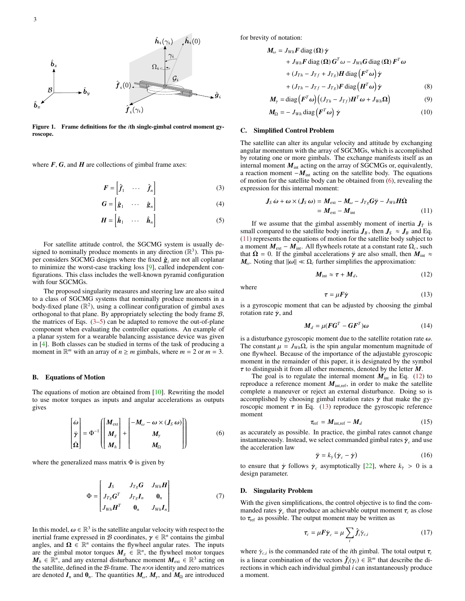

Figure 1. Frame definitions for the *i*th single-gimbal control moment gyroscope.

where  $F$ ,  $G$ , and  $H$  are collections of gimbal frame axes:

$$
\boldsymbol{F} = \begin{bmatrix} \hat{f}_1 & \cdots & \hat{f}_n \end{bmatrix} \tag{3}
$$

$$
\boldsymbol{G} = \begin{bmatrix} \hat{\boldsymbol{g}}_1 & \cdots & \hat{\boldsymbol{g}}_n \end{bmatrix} \tag{4}
$$

$$
\boldsymbol{H} = \begin{bmatrix} \hat{\boldsymbol{h}}_1 & \cdots & \hat{\boldsymbol{h}}_n \end{bmatrix}
$$
 (5)

For satellite attitude control, the SGCMG system is usually designed to nominally produce moments in any direction  $(\mathbb{R}^3)$ . This paper considers SGCMG designs where the fixed  $\hat{g}_i$  are not all coplanar to minimize the worst-case tracking loss [\[9\]](#page-13-8), called independent configurations. This class includes the well-known pyramid configuration with four SGCMGs.

The proposed singularity measures and steering law are also suited to a class of SGCMG systems that nominally produce moments in a body-fixed plane  $(\mathbb{R}^2)$ , using a collinear configuration of gimbal axes orthogonal to that plane. By appropriately selecting the body frame  $B$ , the matrices of Eqs.  $(3-5)$  $(3-5)$  can be adapted to remove the out-of-plane component when evaluating the controller equations. An example of a planar system for a wearable balancing assistance device was given in [\[4\]](#page-13-3). Both classes can be studied in terms of the task of producing a moment in  $\mathbb{R}^m$  with an array of  $n \ge m$  gimbals, where  $m = 2$  or  $m = 3$ .

#### B. Equations of Motion

The equations of motion are obtained from [\[10\]](#page-13-9). Rewriting the model to use motor torques as inputs and angular accelerations as outputs gives

<span id="page-3-3"></span>
$$
\begin{bmatrix} \dot{\omega} \\ \ddot{\gamma} \\ \dot{\Omega} \end{bmatrix} = \Phi^{-1} \begin{bmatrix} M_{\text{ext}} \\ M_g \\ M_h \end{bmatrix} + \begin{bmatrix} -M_{\omega} - \omega \times (J_S \omega) \\ M_{\gamma} \\ M_{\Omega} \end{bmatrix}
$$
 (6)

where the generalized mass matrix  $\Phi$  is given by

$$
\Phi = \begin{bmatrix} \mathbf{J}_S & J_{Tg} \mathbf{G} & J_{Wh} \mathbf{H} \\ J_{Tg} \mathbf{G}^T & J_{Tg} \mathbf{I}_n & \mathbf{0}_n \\ J_{Wh} \mathbf{H}^T & \mathbf{0}_n & J_{Wh} \mathbf{I}_n \end{bmatrix}
$$
(7)

In this model,  $\omega \in \mathbb{R}^3$  is the satellite angular velocity with respect to the inertial frame expressed in  $\mathcal{B}$  coordinates  $\mathcal{P} \in \mathbb{R}^n$  contains the gimbal inertial frame expressed in B coordinates,  $\gamma \in \mathbb{R}^n$  contains the gimbal angles and  $\Omega \in \mathbb{R}^n$  contains the flywheel angular rates. The inputs angles, and  $\Omega \in \mathbb{R}^n$  contains the flywheel angular rates. The inputs are the gimbal motor torques  $M_g \in \mathbb{R}^n$ , the flywheel motor torques  $M_h \in \mathbb{R}^n$ , and any external disturbance moment  $M_{ext} \in \mathbb{R}^3$  acting on the satellite, defined in the B-frame. The *n*×*n* identity and zero matrices are denoted  $I_n$  and  $\mathbf{0}_n$ . The quantities  $M_\omega$ ,  $M_\gamma$ , and  $M_\Omega$  are introduced for brevity of notation:

$$
M_{\omega} = J_{Wh}F \operatorname{diag}(\Omega) \dot{\gamma} + J_{Wh}F \operatorname{diag}(\Omega) G^{T} \omega - J_{Wh}G \operatorname{diag}(\Omega) F^{T} \omega + (J_{Th} - J_{Tf} + J_{Tg})H \operatorname{diag} (F^{T} \omega) \dot{\gamma} + (J_{Th} - J_{Tf} - J_{Tg})F \operatorname{diag} (H^{T} \omega) \dot{\gamma}
$$
(8)  

$$
M_{\gamma} = \operatorname{diag} (F^{T} \omega) ((J_{Th} - J_{Tf})H^{T} \omega + J_{Wh} \Omega)
$$
(9)

$$
M_{\Omega} = -J_{Wh} \operatorname{diag}\left(F^{T}\omega\right) \dot{\gamma}
$$
 (10)

## <span id="page-3-8"></span><span id="page-3-0"></span>C. Simplified Control Problem

<span id="page-3-1"></span>The satellite can alter its angular velocity and attitude by exchanging angular momentum with the array of SGCMGs, which is accomplished by rotating one or more gimbals. The exchange manifests itself as an internal moment  $M_{int}$  acting on the array of SGCMGs or, equivalently, a reaction moment −*M*<sub>int</sub> acting on the satellite body. The equations of motion for the satellite body can be obtained from [\(6\)](#page-3-3), revealing the expression for this internal moment:

$$
J_S \dot{\omega} + \omega \times (J_S \omega) = M_{\text{ext}} - M_{\omega} - J_{T_S} G \ddot{\gamma} - J_{Wh} H \dot{\Omega}
$$
  
=  $M_{\text{ext}} - M_{\text{int}}$  (11)

<span id="page-3-2"></span>If we assume that the gimbal assembly moment of inertia  $J_T$  is small compared to the satellite body inertia  $J_B$ , then  $J_S \approx J_B$  and Eq. [\(11\)](#page-3-4) represents the equations of motion for the satellite body subject to a moment  $M_{ext} - M_{int}$ . All flywheels rotate at a constant rate  $\Omega_c$ , such that  $\dot{\Omega} = 0$ . If the gimbal accelerations  $\ddot{\gamma}$  are also small, then  $M_{int} \approx$ *M*<sub>ω</sub>. Noting that  $||\omega|| \ll \Omega_c$  further simplifies the approximation:

<span id="page-3-5"></span><span id="page-3-4"></span>
$$
M_{\text{int}} \approx \tau + M_d, \tag{12}
$$

where

<span id="page-3-6"></span>
$$
=\mu F \dot{\gamma} \tag{13}
$$

 $\tau = \mu F \dot{\gamma}$  (13)<br>is a gyroscopic moment that can be adjusted by choosing the gimbal rotation rate  $\dot{\gamma}$ , and

$$
\boldsymbol{M}_d = \mu(\boldsymbol{F}\boldsymbol{G}^T - \boldsymbol{G}\boldsymbol{F}^T)\boldsymbol{\omega}
$$
 (14)

is a disturbance gyroscopic moment due to the satellite rotation rate  $\omega$ . The constant  $\mu = J_{Wh} \Omega_c$  is the spin angular momentum magnitude of one flywheel. Because of the importance of the adjustable evroscopic one flywheel. Because of the importance of the adjustable gyroscopic moment in the remainder of this paper, it is designated by the symbol τ to distinguish it from all other moments, denoted by the letter *<sup>M</sup>*.

The goal is to regulate the internal moment  $M_{int}$  in Eq. [\(12\)](#page-3-5) to reproduce a reference moment  $M_{\text{int,ref}}$ , in order to make the satellite complete a maneuver or reject an external disturbance. Doing so is accomplished by choosing gimbal rotation rates  $\dot{\gamma}$  that make the gyroscopic moment  $\tau$  in Eq. [\(13\)](#page-3-6) reproduce the gyroscopic reference moment

<span id="page-3-9"></span>
$$
\tau_{\rm ref} = M_{\rm int, ref} - M_d \tag{15}
$$

 $\tau_{ref} = M_{int,ref} - M_d$  (15)<br>as accurately as possible. In practice, the gimbal rates cannot change instantaneously. Instead, we select commanded gimbal rates  $\dot{\gamma}_c$  and use the acceleration law the acceleration law

<span id="page-3-7"></span>
$$
\ddot{\mathbf{y}} = k_{\dot{\gamma}} \left( \dot{\mathbf{y}}_c - \dot{\mathbf{y}} \right) \tag{16}
$$

to ensure that  $\dot{\gamma}$  follows  $\dot{\gamma}_c$  asymptotically [\[22\]](#page-13-21), where  $k_{\dot{\gamma}} > 0$  is a design parameter design parameter.

## D. Singularity Problem

With the given simplifications, the control objective is to find the commanded rates  $\dot{\gamma}_c$  that produce an achievable output moment  $\tau_c$  as close to  $\tau_c$  as possible. The output moment may be written as to  $\tau_{ref}$  as possible. The output moment may be written as

$$
\tau_c = \mu F \dot{\gamma}_c = \mu \sum_i \hat{f}_i \dot{\gamma}_{c,i}
$$
 (17)

where  $\dot{\gamma}_{c,i}$  is the commanded rate of the *i*th gimbal. The total output  $\tau_c$ <br>is a linear combination of the vectors  $\hat{f}(c_k) \in \mathbb{R}^m$  that describe the diis a linear combination of the vectors  $\hat{f}_i(\gamma_i) \in \mathbb{R}^m$  that describe the di-<br>rections in which each individual gimbal *i* can instantaneously produce rections in which each individual gimbal *i* can instantaneously produce a moment.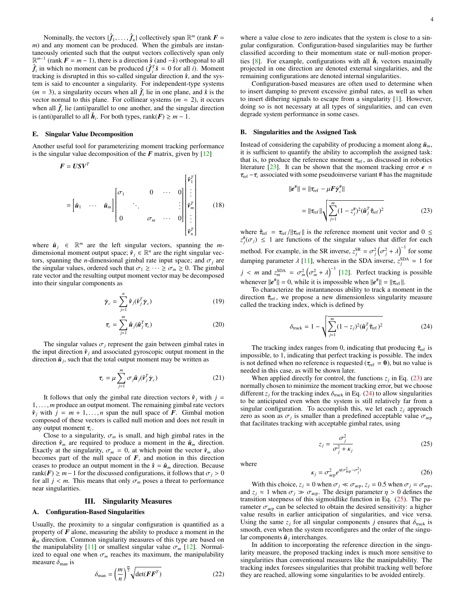Nominally, the vectors  $\{\hat{f}_1, \dots, \hat{f}_n\}$  collectively span  $\mathbb{R}^m$  (rank  $F =$ nd any moment can be produced. When the gimbals are instan*m*) and any moment can be produced. When the gimbals are instantaneously oriented such that the output vectors collectively span only  $\mathbb{R}^{m-1}$  (rank  $\mathbf{F} = m - 1$ ), there is a direction  $\hat{s}$  (and  $-\hat{s}$ ) orthogonal to all  $\hat{f}_i$  in which no moment can be produced  $(\hat{f}_i^T \hat{s} = 0$  for all *i*). Moment tracking is disrupted in this so-called singular direction  $\hat{s}$ , and the system is said to encounter a singularity. For independent-type systems  $(m = 3)$ , a singularity occurs when all  $\hat{f}_i$  lie in one plane, and  $\hat{s}$  is the vector normal to this plane. For collinear systems  $(m = 2)$ , it occurs when all  $\hat{f}_i$  lie (anti)parallel to one another, and the singular direction is (anti)parallel to all  $\hat{h}_i$ . For both types, rank( $F$ ) ≥  $m - 1$ .

# E. Singular Value Decomposition

Another useful tool for parameterizing moment tracking performance is the singular value decomposition of the  $F$  matrix, given by  $[12]$ 

$$
\mathbf{F} = \mathbf{U}\mathbf{S}\mathbf{V}^T
$$
\n
$$
= \begin{bmatrix} \hat{\mathbf{u}}_1 & \cdots & \hat{\mathbf{u}}_m \end{bmatrix} \begin{bmatrix} \sigma_1 & & 0 & \cdots & 0 \\ & \ddots & & & \vdots \\ 0 & & \sigma_m & \cdots & 0 \end{bmatrix} \begin{bmatrix} \hat{\mathbf{v}}_1^T \\ \vdots \\ \hat{\mathbf{v}}_m^T \\ \vdots \\ \hat{\mathbf{v}}_m^T \end{bmatrix}
$$
\n(18)

where  $\hat{u}_j \in \mathbb{R}^m$  are the left singular vectors, spanning the *m*dimensional moment output space;  $\hat{v}_j \in \mathbb{R}^n$  are the right singular vectors, spanning the *n*-dimensional gimbal rate input space; and  $\sigma_i$  are the singular values, ordered such that  $\sigma_1 \geq \cdots \geq \sigma_m \geq 0$ . The gimbal rate vector and the resulting output moment vector may be decomposed into their singular components as

$$
\dot{\boldsymbol{\gamma}}_c = \sum_{j=1}^n \hat{\mathbf{v}}_j (\hat{\mathbf{v}}_j^T \dot{\boldsymbol{\gamma}}_c) \tag{19}
$$

$$
\tau_c = \sum_{j=1}^m \hat{\boldsymbol{u}}_j(\hat{\boldsymbol{u}}_j^T \boldsymbol{\tau}_c) \tag{20}
$$

The singular values  $\sigma_i$  represent the gain between gimbal rates in the input direction  $\hat{v}_i$  and associated gyroscopic output moment in the direction  $\hat{u}_j$ , such that the total output moment may be written as

<span id="page-4-5"></span>
$$
\tau_c = \mu \sum_{j=1}^{m} \sigma_j \hat{\mathbf{u}}_j (\hat{\mathbf{v}}_j^T \dot{\mathbf{\gamma}}_c)
$$
 (21)

It follows that only the gimbal rate direction vectors  $\hat{v}_i$  with  $j =$ <sup>1</sup>, . . . , *<sup>m</sup>* produce an output moment. The remaining gimbal rate vectors  $\hat{v}_j$  with  $j = m + 1, \ldots, n$  span the null space of *F*. Gimbal motion composed of these vectors is called null motion and does not result in any output moment  $\tau_c$ .<br>Close to a singular

Close to a singularity,  $\sigma_m$  is small, and high gimbal rates in the direction  $\hat{v}_m$  are required to produce a moment in the  $\hat{u}_m$  direction. Exactly at the singularity,  $\sigma_m = 0$ , at which point the vector  $\hat{v}_m$  also becomes part of the null space of  $F$ , and motion in this direction ceases to produce an output moment in the  $\hat{s} = \hat{u}_m$  direction. Because rank( $F$ ) ≥ *m* − 1 for the discussed configurations, it follows that  $\sigma_j$  > 0 for all  $j < m$ . This means that only  $\sigma_m$  poses a threat to performance near singularities.

# III. Singularity Measures

# <span id="page-4-0"></span>A. Configuration-Based Singularities

Usually, the proximity to a singular configuration is quantified as a property of *F* alone, measuring the ability to produce a moment in the  $\hat{\boldsymbol{u}}_m$  direction. Common singularity measures of this type are based on the manipulability [\[11\]](#page-13-10) or smallest singular value  $\sigma_m$  [\[12\]](#page-13-11). Normalized to equal one when  $\sigma_m$  reaches its maximum, the manipulability measure  $\delta_{\text{man}}$  is

$$
\delta_{\text{man}} = \left(\frac{m}{n}\right)^{\frac{m}{2}} \sqrt{\det(\boldsymbol{F}\boldsymbol{F}^T)}\tag{22}
$$

where a value close to zero indicates that the system is close to a singular configuration. Configuration-based singularities may be further classified according to their momentum state or null-motion proper-ties [\[8\]](#page-13-7). For example, configurations with all  $\hat{h}_i$  vectors maximally projected in one direction are denoted external singularities, and the remaining configurations are denoted internal singularities.

Configuration-based measures are often used to determine when to insert damping to prevent excessive gimbal rates, as well as when to insert dithering signals to escape from a singularity [\[1\]](#page-13-0). However, doing so is not necessary at all types of singularities, and can even degrade system performance in some cases.

## B. Singularities and the Assigned Task

Instead of considering the capability of producing a moment along  $\hat{u}_m$ , it is sufficient to quantify the ability to accomplish the assigned task: that is, to produce the reference moment  $\tau_{ref}$ , as discussed in robotics literature  $[23]$ . It can be shown that the moment tracking error  $e =$  $\tau_{\text{ref}} - \tau_c$  associated with some pseudoinverse variant # has the magnitude

<span id="page-4-1"></span>
$$
||e^{\#}|| = ||\tau_{\text{ref}} - \mu \mathbf{F} \dot{\gamma}_c^{\#}||
$$
  

$$
= ||\tau_{\text{ref}}|| \sqrt{\sum_{j=1}^{m} (1 - z_j^{\#})^2 (\hat{\mathbf{u}}_j^T \hat{\tau}_{\text{ref}})^2}
$$
(23)

<span id="page-4-4"></span>where  $\hat{\tau}_{ref} = \tau_{ref} / ||\tau_{ref}||$  is the reference moment unit vector and  $0 \le$  $z_j^{\#}(\sigma_j) \leq 1$  are functions of the singular values that differ for each method. For example, in the SR inverse,  $z_j^{SR} = \sigma_j^2 \left( \frac{1}{2} \right)$  $\sigma_j^2 + \lambda \Big)^{-1}$  for some damping parameter  $\lambda$  [\[11\]](#page-13-10), whereas in the SDA inverse,  $z_j^{\text{SDA}} = 1$  for  $j < m$  and  $z_{nm}^{\text{SDA}} = \sigma_m^2 (\sigma_m^2 + \lambda)^{-1}$  [\[12\]](#page-13-11). Perfect tracking is possible whenever  $||e^*|| = 0$ , while it is impossible when  $||e^*|| = ||\tau_{ref}||$ .<br>To characterize the instantaneous ability to track a mom

To characterize the instantaneous ability to track a moment in the direction  $\hat{\tau}_{ref}$ , we propose a new dimensionless singularity measure called the tracking index, which is defined by

<span id="page-4-2"></span>
$$
\delta_{\text{track}} = 1 - \sqrt{\sum_{j=1}^{m} (1 - z_j)^2 (\hat{\boldsymbol{u}}_j^T \hat{\tau}_{\text{ref}})^2}
$$
(24)

The tracking index ranges from 0, indicating that producing  $\hat{\tau}_{ref}$  is impossible, to 1, indicating that perfect tracking is possible. The index is not defined when no reference is requested ( $\tau_{ref} = 0$ ), but no value is needed in this case, as will be shown later.

When applied directly for control, the functions  $z_j$  in Eq. [\(23\)](#page-4-1) are normally chosen to minimize the moment tracking error, but we choose different  $z_j$  for the tracking index  $\delta_{\text{track}}$  in Eq. [\(24\)](#page-4-2) to allow singularities to be anticipated even when the system is still relatively far from a singular configuration. To accomplish this, we let each  $z_j$  approach zero as soon as  $\sigma_j$  is smaller than a predefined acceptable value  $\sigma_{\text{acp}}$ <br>that facilitates tracking with acceptable gimbal rates using that facilitates tracking with acceptable gimbal rates, using

<span id="page-4-3"></span>
$$
z_j = \frac{\sigma_j^2}{\sigma_j^2 + \kappa_j} \tag{25}
$$

where

$$
\kappa_j = \sigma_{\text{acp}}^2 e^{\eta(\sigma_{\text{acp}}^2 - \sigma_j^2)}
$$
 (26)

With this choice,  $z_j \approx 0$  when  $\sigma_j \ll \sigma_{\text{acp}}$ ,  $z_j = 0.5$  when  $\sigma_j = \sigma_{\text{acp}}$ , and  $z_j \approx 1$  when  $\sigma_j \gg \sigma_{\text{acp}}$ . The design parameter  $\eta > 0$  defines the transition steepness of this sigmoidlike function in Eq. [\(25\)](#page-4-3). The parameter  $\sigma_{\text{acp}}$  can be selected to obtain the desired sensitivity: a higher value results in earlier anticipation of singularities, and vice versa. Using the same  $z_j$  for all singular components *j* ensures that  $\delta_{\text{track}}$  is smooth, even when the system reconfigures and the order of the singular components  $\hat{u}_j$  interchanges.

In addition to incorporating the reference direction in the singularity measure, the proposed tracking index is much more sensitive to singularities than conventional measures like the manipulability. The tracking index foresees singularities that prohibit tracking well before they are reached, allowing some singularities to be avoided entirely.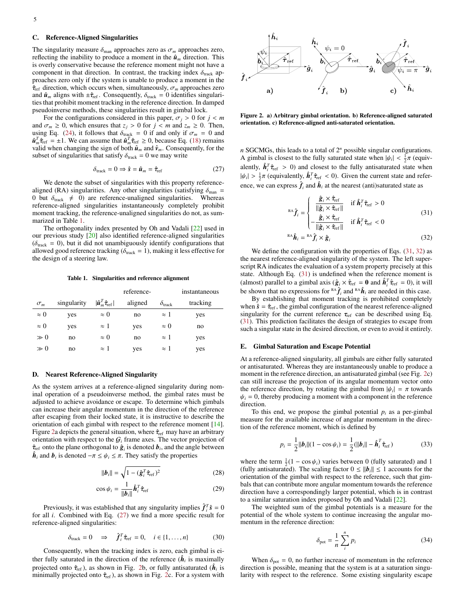## C. Reference-Aligned Singularities

The singularity measure  $\delta_{\text{man}}$  approaches zero as  $\sigma_m$  approaches zero, reflecting the inability to produce a moment in the  $\hat{u}_m$  direction. This is overly conservative because the reference moment might not have a component in that direction. In contrast, the tracking index  $\delta_{\text{track}}$  approaches zero only if the system is unable to produce a moment in the  $\hat{\tau}_{ref}$  direction, which occurs when, simultaneously,  $\sigma_m$  approaches zero and  $\hat{\mathbf{u}}_m$  aligns with  $\pm \hat{\tau}_{\text{ref}}$ . Consequently,  $\delta_{\text{track}} = 0$  identifies singularities that prohibit moment tracking in the reference direction. In damped pseudoinverse methods, these singularities result in gimbal lock.

For the configurations considered in this paper,  $\sigma_i > 0$  for  $j < m$ and  $\sigma_m \geq 0$ , which ensures that  $z_j > 0$  for  $j < m$  and  $z_m \geq 0$ . Then, using Eq. [\(24\)](#page-4-2), it follows that  $\delta_{\text{track}} = 0$  if and only if  $\sigma_m = 0$  and  $\hat{\mathbf{u}}_m^T \hat{\tau}_{\text{ref}} = \pm 1$ . We can assume that  $\hat{\mathbf{u}}_m^T \hat{\tau}_{\text{ref}} \geq 0$ , because Eq. [\(18\)](#page-4-4) remains valid when changing the sign of both  $\hat$ valid when changing the sign of both  $\hat{u}_m$  and  $\hat{v}_m$ . Consequently, for the subset of singularities that satisfy  $\delta_{\text{track}} = 0$  we may write

<span id="page-5-2"></span>
$$
\delta_{\text{track}} = 0 \Rightarrow \hat{\mathbf{s}} = \hat{\mathbf{u}}_m = \hat{\tau}_{\text{ref}} \tag{27}
$$

We denote the subset of singularities with this property referencealigned (RA) singularities. Any other singularities (satisfying  $\delta_{\text{man}} =$ 0 but  $\delta_{\text{track}} \neq 0$  are reference-unaligned singularities. Whereas reference-aligned singularities instantaneously completely prohibit moment tracking, the reference-unaligned singularities do not, as summarized in Table [1.](#page-5-0)

The orthogonality index presented by Oh and Vadali [\[22\]](#page-13-21) used in our previous study [\[20\]](#page-13-19) also identified reference-aligned singularities ( $\delta_{\text{track}} = 0$ ), but it did not unambiguously identify configurations that allowed good reference tracking ( $\delta_{\text{track}} = 1$ ), making it less effective for the design of a steering law.

Table 1. Singularities and reference alignment

<span id="page-5-0"></span>

|             |             |                                                                   | reference- |                         | instantaneous |
|-------------|-------------|-------------------------------------------------------------------|------------|-------------------------|---------------|
| $\sigma_m$  | singularity | $ \hat{\boldsymbol{u}}_m^T \hat{\boldsymbol{\tau}}_{\text{ref}} $ | aligned    | $\delta_{\text{track}}$ | tracking      |
| $\approx 0$ | yes         | $\approx 0$                                                       | no         | $\approx$ 1             | yes           |
| $\approx 0$ | yes         | $\approx$ 1                                                       | yes        | $\approx 0$             | no            |
| $\gg 0$     | no          | $\approx 0$                                                       | no         | $\approx$ 1             | yes           |
| $\gg 0$     | no          | $\approx$ 1                                                       | yes        | $\approx$ 1             | yes           |
|             |             |                                                                   |            |                         |               |

# D. Nearest Reference-Aligned Singularity

As the system arrives at a reference-aligned singularity during nominal operation of a pseudoinverse method, the gimbal rates must be adjusted to achieve avoidance or escape. To determine which gimbals can increase their angular momentum in the direction of the reference after escaping from their locked state, it is instructive to describe the orientation of each gimbal with respect to the reference moment [\[14\]](#page-13-13). Figure [2a](#page-5-1) depicts the general situation, where  $\hat{\tau}_{ref}$  may have an arbitrary orientation with respect to the  $G_i$  frame axes. The vector projection of  $\hat{\tau}_{ref}$  onto the plane orthogonal to  $\hat{g}_i$  is denoted  $b_i$ , and the angle between  $\hat{h}_i$  and  $b_i$  is denoted  $-\pi \leq \psi_i \leq \pi$ . They satisfy the properties

$$
\|\boldsymbol{b}_{i}\| = \sqrt{1 - (\hat{\boldsymbol{g}}_{i}^{T} \hat{\boldsymbol{\tau}}_{\text{ref}})^{2}}
$$
(28)

$$
\cos \psi_i = \frac{1}{\|\boldsymbol{b}_i\|} \hat{\boldsymbol{h}}_i^T \hat{\tau}_{ref}
$$
 (29)

Previously, it was established that any singularity implies  $\hat{f}_i^T \hat{s} = 0$ for all *i*. Combined with Eq. [\(27\)](#page-5-2) we find a more specific result for reference-aligned singularities:

<span id="page-5-5"></span>
$$
\delta_{\text{track}} = 0 \quad \Rightarrow \quad \hat{\mathbf{f}}_i^T \hat{\tau}_{\text{ref}} = 0, \quad i \in \{1, \dots, n\} \tag{30}
$$

Consequently, when the tracking index is zero, each gimbal is either fully saturated in the direction of the reference  $(\hat{h}_i)$  is maximally projected onto  $\hat{\tau}_{ref}$ ), as shown in Fig. [2b](#page-5-1), or fully antisaturated  $(\hat{h}_i)$  is<br>minimally projected onto  $\hat{\tau}_{ref}$ ) as shown in Fig. 2c. For a system with minimally projected onto  $\hat{\tau}_{ref}$ ), as shown in Fig. [2c](#page-5-1). For a system with



<span id="page-5-1"></span>Figure 2. a) Arbitrary gimbal orientation. b) Reference-aligned saturated orientation. c) Reference-aligned anti-saturated orientation.

*n* SGCMGs, this leads to a total of 2 *<sup>n</sup>* possible singular configurations. A gimbal is closest to the fully saturated state when  $|\psi_i| < \frac{1}{2}\pi$  (equiv-<br>clantly,  $\hat{h}^T \hat{h} \to 0$ ) and closest to the fully articulated state when alently,  $\hat{h}_i^T \hat{\tau}_{\text{ref}} > 0$  and closest to the fully antisaturated state when  $|\psi_i| > \frac{1}{2}\pi$  (equivalently,  $\hat{h}_i^T \hat{\tau}_{\text{ref}} < 0$ ). Given the current state and reference, we can express  $\hat{f}_i$  and  $\hat{h}_i$  at the nearest (anti)saturated state as

<span id="page-5-3"></span>
$$
\mathbf{R}\mathbf{A}\hat{\boldsymbol{f}}_{i} = \begin{cases}\n\frac{\hat{\mathbf{g}}_{i} \times \hat{\boldsymbol{\tau}}_{\text{ref}}}{\|\hat{\mathbf{g}}_{i} \times \hat{\boldsymbol{\tau}}_{\text{ref}}\|} & \text{if } \hat{\boldsymbol{h}}_{i}^{T} \hat{\boldsymbol{\tau}}_{\text{ref}} > 0 \\
-\frac{\hat{\mathbf{g}}_{i} \times \hat{\boldsymbol{\tau}}_{\text{ref}}}{\|\hat{\mathbf{g}}_{i} \times \hat{\boldsymbol{\tau}}_{\text{ref}}\|} & \text{if } \hat{\boldsymbol{h}}_{i}^{T} \hat{\boldsymbol{\tau}}_{\text{ref}} < 0\n\end{cases}
$$
\n(31)

<span id="page-5-4"></span>
$$
^{RA}\hat{\boldsymbol{h}}_i = ^{RA}\hat{\boldsymbol{f}}_i \times \hat{\boldsymbol{g}}_i \tag{32}
$$

We define the configuration with the properties of Eqs.  $(31, 32)$  $(31, 32)$  $(31, 32)$  as the nearest reference-aligned singularity of the system. The left superscript RA indicates the evaluation of a system property precisely at this state. Although Eq. [\(31\)](#page-5-3) is undefined when the reference moment is (almost) parallel to a gimbal axis  $(\hat{g}_i \times \hat{\tau}_{\text{ref}} = 0 \text{ and } \hat{h}_i^T \hat{\tau}_{\text{ref}} = 0)$ , it will<br>the shown that no expressions for  $\hat{\theta} \wedge \hat{\tau}$  and  $\hat{\theta} \wedge \hat{\tau}$  are needed in this case. be shown that no expressions for  $R^A \hat{f}_i$  and  $R^A \hat{h}_i$  are needed in this case.

By establishing that moment tracking is prohibited completely when  $\hat{s} = \hat{\tau}_{ref}$ , the gimbal configuration of the nearest reference-aligned singularity for the current reference  $\tau_{ref}$  can be described using Eq. [\(31\)](#page-5-3). This prediction facilitates the design of strategies to escape from such a singular state in the desired direction, or even to avoid it entirely.

# <span id="page-5-6"></span>E. Gimbal Saturation and Escape Potential

At a reference-aligned singularity, all gimbals are either fully saturated or antisaturated. Whereas they are instantaneously unable to produce a moment in the reference direction, an antisaturated gimbal (see Fig. [2c](#page-5-1)) can still increase the projection of its angular momentum vector onto the reference direction, by rotating the gimbal from  $|\psi_i| = \pi$  towards  $\psi_i = 0$  thereby producing a moment with a component in the reference  $\psi_i = 0$ , thereby producing a moment with a component in the reference direction.

To this end, we propose the gimbal potential  $p_i$  as a per-gimbal measure for the available increase of angular momentum in the direction of the reference moment, which is defined by

$$
p_i = \frac{1}{2} ||\boldsymbol{b}_i|| (1 - \cos \psi_i) = \frac{1}{2} (||\boldsymbol{b}_i|| - \hat{\boldsymbol{h}}_i^T \hat{\tau}_{\text{ref}})
$$
(33)

where the term  $\frac{1}{2}(1 - \cos \psi_i)$  varies between 0 (fully saturated) and 1 (fully antisaturated) The scaling factor  $0 \lt ||h|| \lt 1$  accounts for the (fully antisaturated). The scaling factor  $0 \le ||b_i|| \le 1$  accounts for the orientation of the gimbal with respect to the reference, such that gimbals that can contribute more angular momentum towards the reference direction have a correspondingly larger potential, which is in contrast to a similar saturation index proposed by Oh and Vadali [\[22\]](#page-13-21).

The weighted sum of the gimbal potentials is a measure for the potential of the whole system to continue increasing the angular momentum in the reference direction:

$$
\delta_{\text{pot}} = \frac{1}{n} \sum_{i}^{n} p_i \tag{34}
$$

When  $\delta_{pot} = 0$ , no further increase of momentum in the reference direction is possible, meaning that the system is at a saturation singularity with respect to the reference. Some existing singularity escape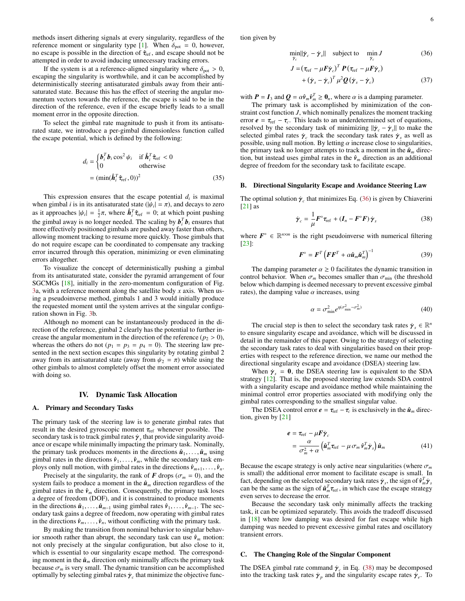methods insert dithering signals at every singularity, regardless of the reference moment or singularity type [\[1\]](#page-13-0). When  $\delta_{pot} = 0$ , however, no escape is possible in the direction of  $\hat{\tau}_{ref}$ , and escape should not be attempted in order to avoid inducing unnecessary tracking errors.

If the system is at a reference-aligned singularity where  $\delta_{\text{pot}} > 0$ , escaping the singularity is worthwhile, and it can be accomplished by deterministically steering antisaturated gimbals away from their antisaturated state. Because this has the effect of steering the angular momentum vectors towards the reference, the escape is said to be in the direction of the reference, even if the escape briefly leads to a small moment error in the opposite direction.

To select the gimbal rate magnitude to push it from its antisaturated state, we introduce a per-gimbal dimensionless function called the escape potential, which is defined by the following:

$$
d_i = \begin{cases} \boldsymbol{b}_i^T \boldsymbol{b}_i \cos^2 \psi_i & \text{if } \hat{\boldsymbol{h}}_i^T \hat{\boldsymbol{\tau}}_{\text{ref}} < 0 \\ 0 & \text{otherwise} \end{cases}
$$
  
= 
$$
(\min(\hat{\boldsymbol{h}}_i^T \hat{\boldsymbol{\tau}}_{\text{ref}}, 0))^2
$$
 (35)

This expression ensures that the escape potential  $d_i$  is maximal when gimbal *i* is in its antisaturated state  $(|\psi_i| = \pi)$ , and decays to zero<br>as it approaches  $|\psi_i| = \frac{1}{\pi} \pi$ , where  $\hat{h}^T \hat{\tau} = 0$ ; at which point pushing as it approaches  $|\psi_i| = \frac{1}{2}\pi$ , where  $\hat{h}_i^T \hat{\tau}_{\text{ref}} = 0$ ; at which point pushing<br>the cimbal away is no longer pooded. The scaling by  $h^T h$  appures that the gimbal away is no longer needed. The scaling by  $\mathbf{b}_i^T \mathbf{b}_i$  ensures that more effectively positioned gimbals are pushed away faster than others, allowing moment tracking to resume more quickly. Those gimbals that do not require escape can be coordinated to compensate any tracking error incurred through this operation, minimizing or even eliminating errors altogether.

To visualize the concept of deterministically pushing a gimbal from its antisaturated state, consider the pyramid arrangement of four SGCMGs [\[18\]](#page-13-17), initially in the zero-momentum configuration of Fig. [3a](#page-7-1), with a reference moment along the satellite body *x* axis. When using a pseudoinverse method, gimbals 1 and 3 would initially produce the requested moment until the system arrives at the singular configuration shown in Fig. [3b](#page-7-1).

Although no moment can be instantaneously produced in the direction of the reference, gimbal 2 clearly has the potential to further increase the angular momentum in the direction of the reference ( $p_2 > 0$ ), whereas the others do not ( $p_1 = p_3 = p_4 = 0$ ). The steering law presented in the next section escapes this singularity by rotating gimbal 2 away from its antisaturated state (away from  $\psi_2 = \pi$ ) while using the other gimbals to almost completely offset the moment error associated with doing so.

# IV. Dynamic Task Allocation

# <span id="page-6-0"></span>A. Primary and Secondary Tasks

The primary task of the steering law is to generate gimbal rates that result in the desired gyroscopic moment  $\tau_{ref}$  whenever possible. The secondary task is to track gimbal rates  $\dot{\gamma}_s$  that provide singularity avoid-<br>ance or escape while minimally impacting the primary task. Nominally ance or escape while minimally impacting the primary task. Nominally, the primary task produces moments in the directions  $\hat{\boldsymbol{u}}_1, \ldots, \hat{\boldsymbol{u}}_m$  using gimbal rates in the directions  $\hat{v}_1, \ldots, \hat{v}_m$ , while the secondary task employs only null motion, with gimbal rates in the directions  $\hat{v}_{m+1}, \ldots, \hat{v}_n$ .

Precisely at the singularity, the rank of *F* drops ( $\sigma_m = 0$ ), and the system fails to produce a moment in the  $\hat{u}_m$  direction regardless of the gimbal rates in the  $\hat{v}_m$  direction. Consequently, the primary task loses a degree of freedom (DOF), and it is constrained to produce moments in the directions  $\hat{u}_1, \ldots, \hat{u}_{m-1}$  using gimbal rates  $\hat{v}_1, \ldots, \hat{v}_{m-1}$ . The secondary task gains a degree of freedom, now operating with gimbal rates in the directions  $\hat{v}_m, \ldots, \hat{v}_n$ , without conflicting with the primary task.

By making the transition from nominal behavior to singular behavior smooth rather than abrupt, the secondary task can use  $\hat{v}_m$  motion: not only precisely at the singular configuration, but also close to it, which is essential to our singularity escape method. The corresponding moment in the  $\hat{u}_m$  direction only minimally affects the primary task because  $\sigma_m$  is very small. The dynamic transition can be accomplished optimally by selecting gimbal rates  $\dot{\gamma}_c$  that minimize the objective function given by

<span id="page-6-1"></span>
$$
\min_{\dot{\mathcal{V}}_c} \|\dot{\mathcal{Y}}_c - \dot{\mathcal{Y}}_s\| \quad \text{subject to} \quad \min_{\dot{\mathcal{Y}}_c} J \tag{36}
$$

$$
J = (\tau_{\text{ref}} - \mu F \dot{\gamma}_c)^T P (\tau_{\text{ref}} - \mu F \dot{\gamma}_c)
$$
  
+ 
$$
(\dot{\gamma}_s - \dot{\gamma}_c)^T \mu^2 Q (\dot{\gamma}_s - \dot{\gamma}_c)
$$
 (37)

with  $P = I_3$  and  $Q = \alpha \hat{v}_m \hat{v}_m^T \ge 0_n$ , where  $\alpha$  is a damping parameter.<br>The primary task is accomplished by minimization of the c

The primary task is accomplished by minimization of the constraint cost function *J*, which nominally penalizes the moment tracking error  $e = \tau_{ref} - \tau_c$ . This leads to an underdetermined set of equations, resolved by the secondary task of minimizing  $||\dot{\mathbf{v}}| - \dot{\mathbf{v}}||$  to make the resolved by the secondary task of minimizing  $||\dot{\gamma}_c - \dot{\gamma}_s||$  to make the selected gimbal rates  $\dot{\gamma}$  are track the secondary task rates  $\dot{\gamma}$  as well as selected gimbal rates  $\dot{\gamma}_c$  track the secondary task rates  $\dot{\gamma}_s$  as well as nossible using null motion. By letting  $\alpha$  increase close to singularities possible, using null motion. By letting  $\alpha$  increase close to singularities, the primary task no longer attempts to track a moment in the  $\hat{u}_m$  direction, but instead uses gimbal rates in the  $\hat{v}_m$  direction as an additional degree of freedom for the secondary task to facilitate escape.

#### B. Directional Singularity Escape and Avoidance Steering Law

The optimal solution  $\dot{\gamma}_c$  that minimizes Eq. [\(36\)](#page-6-1) is given by Chiaverini [21] as  $[21]$  as

<span id="page-6-2"></span>
$$
\dot{\gamma}_c = \frac{1}{\mu} F^\circ \tau_{\text{ref}} + (I_n - F^\circ F) \dot{\gamma}_s \tag{38}
$$

where  $\mathbf{F}^{\circ} \in \mathbb{R}^{n \times m}$  is the right pseudoinverse with numerical filtering [\[23\]](#page-13-22):

$$
\boldsymbol{F}^{\circ} = \boldsymbol{F}^{T} \left( \boldsymbol{F} \boldsymbol{F}^{T} + \alpha \hat{\boldsymbol{u}}_{m} \hat{\boldsymbol{u}}_{m}^{T} \right)^{-1} \tag{39}
$$

The damping parameter  $\alpha \geq 0$  facilitates the dynamic transition in control behavior. When  $\sigma_m$  becomes smaller than  $\sigma_{\min}$  (the threshold below which damping is deemed necessary to prevent excessive gimbal rates), the damping value  $\alpha$  increases, using

$$
\alpha = \sigma_{\min}^2 e^{\eta(\sigma_{\min}^2 - \sigma_m^2)}
$$
 (40)

The crucial step is then to select the secondary task rates  $\dot{\gamma}_s \in \mathbb{R}^n$ <br>nsure singularity escape and avoidance, which will be discussed in to ensure singularity escape and avoidance, which will be discussed in detail in the remainder of this paper. Owing to the strategy of selecting the secondary task rates to deal with singularities based on their properties with respect to the reference direction, we name our method the directional singularity escape and avoidance (DSEA) steering law.

When  $\dot{\gamma}_s = 0$ , the DSEA steering law is equivalent to the SDA strategy [\[12\]](#page-13-11). That is, the proposed steering law extends SDA control with a singularity escape and avoidance method while maintaining the minimal control error properties associated with modifying only the gimbal rates corresponding to the smallest singular value.

The DSEA control error  $e = \tau_{ref} - \tau_c$  is exclusively in the  $\hat{u}_m$  direction by [21] tion, given by [\[21\]](#page-13-20)

$$
\mathbf{e} = \tau_{\text{ref}} - \mu \mathbf{F} \dot{\mathbf{\gamma}}_c
$$
  
= 
$$
\frac{\alpha}{\sigma_m^2 + \alpha} \left( \hat{\mathbf{a}}_m^T \tau_{\text{ref}} - \mu \sigma_m \hat{\mathbf{v}}_m^T \dot{\mathbf{\gamma}}_s \right) \hat{\mathbf{a}}_m
$$
 (41)

Because the escape strategy is only active near singularities (where  $\sigma_m$ is small) the additional error moment to facilitate escape is small. In fact, depending on the selected secondary task rates  $\dot{\gamma}_s$ , the sign of  $\hat{\nu}_m^T \dot{\gamma}_s$  can be the same as the sign of  $\hat{\nu}_m^T \tau_{ref}$ , in which case the escape strategy even serves to decrease the error even serves to decrease the error.

Because the secondary task only minimally affects the tracking task, it can be optimized separately. This avoids the tradeoff discussed in [\[18\]](#page-13-17) where low damping was desired for fast escape while high damping was needed to prevent excessive gimbal rates and oscillatory transient errors.

# C. The Changing Role of the Singular Component

The DSEA gimbal rate command  $\dot{\gamma}_c$  in Eq. [\(38\)](#page-6-2) may be decomposed into the tracking task rates  $\dot{\gamma}$  and the singularity escape rates  $\dot{\gamma}$ . To into the tracking task rates  $\dot{\gamma}_p$  and the singularity escape rates  $\dot{\gamma}_e$ . To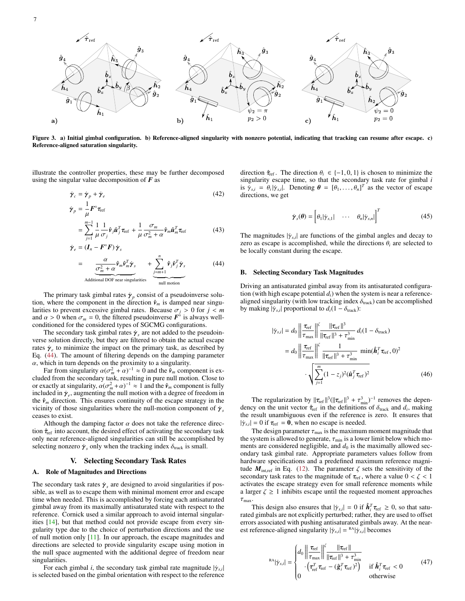

Figure 3. a) Initial gimbal configuration. b) Reference-aligned singularity with nonzero potential, indicating that tracking can resume after escape. c) Reference-aligned saturation singularity.

illustrate the controller properties, these may be further decomposed using the singular value decomposition of *F* as

$$
\dot{\boldsymbol{\gamma}}_c = \dot{\boldsymbol{\gamma}}_p + \dot{\boldsymbol{\gamma}}_e \tag{42}
$$

$$
\dot{\gamma}_p = \frac{1}{\mu} F^{\circ} \tau_{\text{ref}}
$$
\n
$$
= \sum_{i=1}^{m-1} \frac{1}{\mu} \frac{1}{\sigma_j} \hat{\mathbf{v}}_j \hat{\mathbf{u}}_j^T \tau_{\text{ref}} + \frac{1}{\mu} \frac{\sigma_m}{\sigma_m^2 + \alpha} \hat{\mathbf{v}}_m \hat{\mathbf{u}}_m^T \tau_{\text{ref}}
$$
(43)

$$
\sum_{j=1}^{n} \mu \sigma_j^{\gamma} \mathbf{r} \mathbf{r} \cdot \mu \sigma_m^2 + \alpha^{\gamma} \mathbf{m} \mathbf{r} \mathbf{r} \tag{15}
$$
\n
$$
\dot{\mathbf{\gamma}}_e = (\mathbf{I}_n - \mathbf{F}^\circ \mathbf{F}) \dot{\mathbf{\gamma}}_s
$$

$$
= \underbrace{\frac{\alpha}{\sigma_m^2 + \alpha} \hat{\mathbf{v}}_m \hat{\mathbf{v}}_m^T \dot{\mathbf{y}}_s}_{\text{Additional DOF near singularities}} + \underbrace{\sum_{j=m+1}^n \hat{\mathbf{v}}_j \hat{\mathbf{v}}_j^T \dot{\mathbf{y}}_s}_{\text{null motion}}
$$
(44)

The primary task gimbal rates  $\dot{\gamma}_p$  consist of a pseudoinverse solu-<br>where the component in the direction  $\hat{v}$  is damped near singution, where the component in the direction  $\hat{v}_m$  is damped near singularities to prevent excessive gimbal rates. Because  $\sigma_i > 0$  for  $j < m$ and  $\alpha > 0$  when  $\sigma_m = 0$ , the filtered pseudoinverse  $\vec{F}^{\circ}$  is always well-conditioned for the considered types of SGCMG configurations conditioned for the considered types of SGCMG configurations.

The secondary task gimbal rates  $\dot{\gamma}_s$  are not added to the pseudoin-<br>e-solution directly, but they are filtered to obtain the actual escape verse solution directly, but they are filtered to obtain the actual escape rates  $\dot{\gamma}_e$  to minimize the impact on the primary task, as described by<br>Fo. (44) The amount of filtering depends on the damping parameter Eq. [\(44\)](#page-7-2). The amount of filtering depends on the damping parameter  $\alpha$ , which in turn depends on the proximity to a singularity.

Far from singularity  $\alpha(\sigma_m^2 + \alpha)^{-1} \approx 0$  and the  $\hat{v}_m$  component is ex-<br>ed from the secondary task resulting in pure null motion. Close to cluded from the secondary task, resulting in pure null motion. Close to or exactly at singularity,  $\alpha(\sigma_m^2 + \alpha)^{-1} \approx 1$  and the  $\hat{\mathbf{v}}_m$  component is fully included in  $\dot{\mathbf{v}}_m$  augmenting the null motion with a degree of freedom in included in  $\dot{\gamma}_e$ , augmenting the null motion with a degree of freedom in the  $\hat{v}$  direction. This ensures continuity of the escape strategy in the the  $\hat{v}_m$  direction. This ensures continuity of the escape strategy in the vicinity of those singularities where the null-motion component of  $\gamma_s$ ceases to exist.

Although the damping factor  $\alpha$  does not take the reference direction  $\hat{\tau}_{ref}$  into account, the desired effect of activating the secondary task only near reference-aligned singularities can still be accomplished by selecting nonzero  $\dot{\gamma}_s$  only when the tracking index  $\delta_{\text{track}}$  is small.

# V. Selecting Secondary Task Rates

## <span id="page-7-0"></span>A. Role of Magnitudes and Directions

The secondary task rates  $\dot{\gamma}_s$  are designed to avoid singularities if pos-<br>sible as well as to escape them with minimal moment error and escape sible, as well as to escape them with minimal moment error and escape time when needed. This is accomplished by forcing each antisaturated gimbal away from its maximally antisaturated state with respect to the reference. Cornick used a similar approach to avoid internal singularities [\[14\]](#page-13-13), but that method could not provide escape from every singularity type due to the choice of perturbation directions and the use of null motion only [\[11\]](#page-13-10). In our approach, the escape magnitudes and directions are selected to provide singularity escape using motion in the null space augmented with the additional degree of freedom near singularities.

For each gimbal *i*, the secondary task gimbal rate magnitude  $|\dot{\gamma}_{s,i}|$ | is selected based on the gimbal orientation with respect to the reference <span id="page-7-6"></span>direction  $\hat{\tau}_{ref}$ . The direction  $\theta_i \in \{-1, 0, 1\}$  is chosen to minimize the singularity escape time, so that the secondary task rate for gimbal *i* is  $\dot{\gamma}_{s,i} = \theta_i | \dot{\gamma}_{s,i}|$ . Denoting  $\theta = [\theta_1, \dots, \theta_n]^T$  as the vector of escape directions we get directions, we get

<span id="page-7-5"></span><span id="page-7-1"></span>
$$
\dot{\boldsymbol{\gamma}}_{s}(\boldsymbol{\theta}) = \begin{bmatrix} \theta_1 | \dot{\gamma}_{s,1} | & \cdots & \theta_n | \dot{\gamma}_{s,n} | \end{bmatrix}^T
$$
 (45)

<span id="page-7-7"></span>The magnitudes  $|\dot{\gamma}_{s,i}|$  are functions of the gimbal angles and decay to zero as escape is accomplished, while the directions  $\theta_i$  are selected to zero as escape is accomplished, while the directions  $\theta_i$  are selected to be locally constant during the escape.

# <span id="page-7-2"></span>B. Selecting Secondary Task Magnitudes

Driving an antisaturated gimbal away from its antisaturated configuration (with high escape potential *di*) when the system is near a referencealigned singularity (with low tracking index  $\delta_{\text{track}}$ ) can be accomplished by making  $|\dot{\gamma}_{s,i}|$  proportional to  $d_i(1 - \delta_{\text{track}})$ :

<span id="page-7-3"></span>
$$
|\dot{\gamma}_{s,i}| = d_0 \left\| \frac{\tau_{\text{ref}}}{\tau_{\text{max}}} \right\| \frac{\tau_{\text{ref}}}{\|\tau_{\text{ref}}\|^3 + \tau_{\text{min}}^3} d_i (1 - \delta_{\text{track}})
$$
  
= 
$$
d_0 \left\| \frac{\tau_{\text{ref}}}{\tau_{\text{max}}} \right\| \frac{\tau_{\text{ref}}}{\|\tau_{\text{ref}}\|^3 + \tau_{\text{min}}^3} \min(\hat{\boldsymbol{h}}_i^T \tau_{\text{ref}}, 0)^2
$$
  

$$
\cdot \sqrt{\sum_{j=1}^m (1 - z_j)^2 (\hat{\boldsymbol{u}}_j^T \tau_{\text{ref}})^2}
$$
(46)

The regularization by  $||\tau_{\text{ref}}||^3(||\tau_{\text{ref}}||^3 + \tau_{\text{min}}^3)^{-1}$  removes the depen-<br>v on the unit vector  $\hat{\tau}_{\text{ref}}$  in the definitions of  $\delta_{\text{rest}}$  and d, making dency on the unit vector  $\hat{\tau}_{ref}$  in the definitions of  $\delta_{\text{track}}$  and  $d_i$ , making the result unambiguous even if the reference is zero. It ensures that the result unambiguous even if the reference is zero. It ensures that  $|\dot{\gamma}_{s,i}| = 0$  if  $\tau_{\text{ref}} = 0$ , when no escape is needed.<br>The design parameter  $\tau_{\text{ref}}$  is the maximum

The design parameter  $\tau_{\text{max}}$  is the maximum moment magnitude that the system is allowed to generate,  $\tau_{min}$  is a lower limit below which moments are considered negligible, and  $d_0$  is the maximally allowed secondary task gimbal rate. Appropriate parameters values follow from hardware specifications and a predefined maximum reference magnitude  $M_{\text{int,ref}}$  in Eq. [\(12\)](#page-3-5). The parameter  $\zeta$  sets the sensitivity of the secondary task rates to the magnitude of  $\tau_{ref}$ , where a value  $0 < \zeta < 1$ activates the escape strategy even for small reference moments while a larger  $\zeta \geq 1$  inhibits escape until the requested moment approaches  $\tau_{\text{max}}$ 

This design also ensures that  $|\dot{\gamma}_{s,i}| = 0$  if  $\hat{h}_i^T \tau_{\text{ref}} \ge 0$ , so that satu-<br>digimbals are not explicitly perturbed: rather, they are used to offset rated gimbals are not explicitly perturbed; rather, they are used to offset errors associated with pushing antisaturated gimbals away. At the nearest reference-aligned singularity  $|\dot{\gamma}_{s,i}| = R \hat{\gamma}_{s,i}|$  becomes

<span id="page-7-4"></span>
$$
\kappa_{\text{A}}|\dot{\gamma}_{s,i}| = \begin{cases} d_0 \left\| \frac{\tau_{\text{ref}}}{\tau_{\text{max}}} \right\|_{\text{Tref}}^{\zeta} \frac{\left\| \tau_{\text{ref}} \right\|}{\left\| \tau_{\text{ref}} \right\|^3 + \tau_{\text{min}}^3} \\ \cdot \left( \tau_{\text{ref}}^T \tau_{\text{ref}} - (\hat{\mathbf{g}}_i^T \tau_{\text{ref}})^2 \right) & \text{if } \hat{\mathbf{h}}_i^T \tau_{\text{ref}} < 0 \\ 0 & \text{otherwise} \end{cases} \tag{47}
$$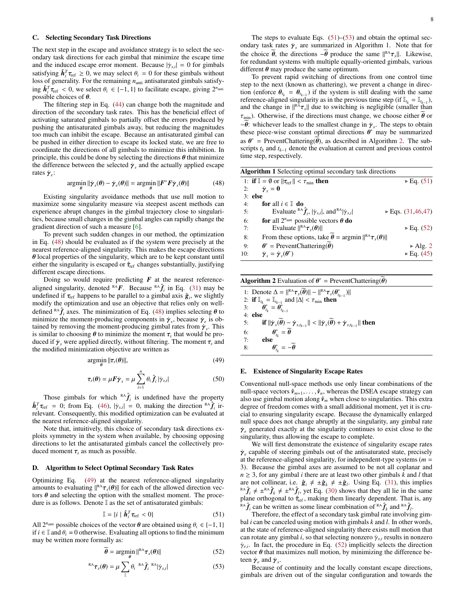## C. Selecting Secondary Task Directions

The next step in the escape and avoidance strategy is to select the secondary task directions for each gimbal that minimize the escape time and the induced escape error moment. Because  $|\dot{\gamma}_{s,i}| = 0$  for gimbals satisfying  $\hat{h}^T \tau \ge 0$ , we may select  $\theta = 0$  for these gimbals without satisfying  $\hat{h}_i^T \tau_{\text{ref}} \geq 0$ , we may select  $\theta_i = 0$  for these gimbals without loss of generality. For the remaining  $n_{\text{out}}$  antisaturated gimbals satisfyloss of generality. For the remaining  $n<sub>anti</sub>$  antisaturated gimbals satisfy- $\hat{h}_i^T \hat{\tau}_{\text{ref}} < 0$ , we select  $\theta_i \in \{-1, 1\}$  to facilitate escape, giving  $2^{n_{\text{anti}}}$  nossible choices of  $\theta$ possible choices of  $\theta$ .

The filtering step in Eq. [\(44\)](#page-7-2) can change both the magnitude and direction of the secondary task rates. This has the beneficial effect of activating saturated gimbals to partially offset the errors produced by pushing the antisaturated gimbals away, but reducing the magnitudes too much can inhibit the escape. Because an antisaturated gimbal can be pushed in either direction to escape its locked state, we are free to coordinate the directions of all gimbals to minimize this inhibition. In principle, this could be done by selecting the directions  $\theta$  that minimize the difference between the selected  $\dot{\gamma}_s$  and the actually applied escape rates  $\dot{\gamma}$ . rates  $\dot{\gamma}_e$ :

<span id="page-8-0"></span>
$$
\underset{\theta}{\text{argmin}} \|\dot{\gamma}_s(\theta) - \dot{\gamma}_e(\theta)\| = \underset{\theta}{\text{argmin}} \, \|F^\circ F \dot{\gamma}_s(\theta)\| \tag{48}
$$

θ θ Existing singularity avoidance methods that use null motion to maximize some singularity measure via steepest ascent methods can experience abrupt changes in the gimbal trajectory close to singularities, because small changes in the gimbal angles can rapidly change the gradient direction of such a measure [\[6\]](#page-13-5).

To prevent such sudden changes in our method, the optimization in Eq. [\(48\)](#page-8-0) should be evaluated as if the system were precisely at the nearest reference-aligned singularity. This makes the escape directions  $\theta$  local properties of the singularity, which are to be kept constant until either the singularity is escaped or  $\hat{\tau}_{ref}$  changes substantially, justifying different escape directions.

Doing so would require predicting  $F$  at the nearest referencealigned singularity, denoted  $R^A F$ . Because  $R^A \hat{f}_i$  in Eq. [\(31\)](#page-5-3) may be undefined if  $\tau_{ref}$  happens to be parallel to a gimbal axis  $\hat{g}_i$ , we slightly modify the optimization and use an objective that relies only on wellmodify the optimization and use an objective that relies only on welldefined  $R^A \hat{f}_i$  axes. The minimization of Eq. [\(48\)](#page-8-0) implies selecting  $\theta$  to minimize the moment-producing components in  $\dot{\gamma}$  because  $\dot{\gamma}$  is obminimize the moment-producing components in  $\gamma_s$ , because  $\gamma_e$  is obtained by removing the moment-producing gimbal rates from  $\dot{\gamma}$ . This tained by removing the moment-producing gimbal rates from  $\dot{\gamma}_s$ . This<br>is similar to choosing  $\theta$  to minimize the moment  $\tau$  that would be prois similar to choosing  $\theta$  to minimize the moment  $\tau_s$  that would be pro-<br>duced if  $\dot{\mathbf{v}}$  were applied directly without filtering. The moment  $\tau$  and duced if  $\gamma_s$  were applied directly, without filtering. The moment  $\tau_s$  and the modified minimization objective are written as

$$
\underset{\theta}{\text{argmin}} \|\tau_s(\theta)\|,\tag{49}
$$

$$
\tau_s(\theta) = \mu F \dot{\gamma}_s = \mu \sum_{i=1}^n \theta_i \hat{f}_i |\dot{\gamma}_{s,i}| \tag{50}
$$

Those gimbals for which  $R \hat{f}_i$  is undefined have the property  $\hat{h}_i^T \tau_{\text{ref}} = 0$ ; from Eq. [\(46\)](#page-7-3),  $|\dot{\gamma}_{s,i}| = 0$ , making the direction RA $\hat{f}_i$  ir-<br>relevant. Consequently, this modified optimization can be evaluated at relevant. Consequently, this modified optimization can be evaluated at the nearest reference-aligned singularity.

Note that, intuitively, this choice of secondary task directions exploits symmetry in the system when available, by choosing opposing directions to let the antisaturated gimbals cancel the collectively produced moment  $\tau_s$  as much as possible.

# D. Algorithm to Select Optimal Secondary Task Rates

Optimizing Eq. [\(49\)](#page-8-1) at the nearest reference-aligned singularity amounts to evaluating  $\|\mathbb{R}^{\mathsf{R}}\boldsymbol{\tau}_s(\boldsymbol{\theta})\|$  for each of the allowed direction vectors  $\theta$  and selecting the option with the smallest moment. The procedure is as follows. Denote  $\mathbb I$  as the set of antisaturated gimbals:

<span id="page-8-2"></span>
$$
\mathbb{I} = \{i \mid \hat{\boldsymbol{h}}_i^T \boldsymbol{\tau}_{\text{ref}} < 0\} \tag{51}
$$

*i*  $\mathbb{I} = \{i \mid \hat{h}_i^T \tau_{\text{ref}} < 0\}$  (51)<br>All 2<sup>*n*</sup>anti</sup> possible choices of the vector  $\theta$  are obtained using  $\theta_i \in \{-1, 1\}$ <br>if  $i \in \mathbb{I}$  and  $\theta_i = 0$  otherwise. Evaluating all options to find the minimum if  $i \in \mathbb{I}$  and  $\theta_i = 0$  otherwise. Evaluating all options to find the minimum may be written more formally as:

$$
\widetilde{\boldsymbol{\theta}} = \underset{\boldsymbol{\theta}}{\text{argmin}} \, ||^{\text{RA}} \boldsymbol{\tau}_s(\boldsymbol{\theta})|| \tag{52}
$$

$$
^{RA}\boldsymbol{\tau}_{s}(\boldsymbol{\theta}) = \mu \sum_{I} \theta_{i}^{RA}\hat{\boldsymbol{f}}_{i}^{RA}|\dot{\boldsymbol{\gamma}}_{s,i}|
$$
 (53)

The steps to evaluate Eqs.  $(51)$ – $(53)$  and obtain the optimal secondary task rates  $\dot{\gamma}_s$  are summarized in Algorithm 1. Note that for the obsise  $\ddot{\theta}$  the directions  $\ddot{\theta}$  are dues the same li<sup>ke</sup> in Likewise. the choice  $\theta$ , the directions  $-\theta$  produce the same  $||^{R_A}\tau_s||$ . Likewise, for redundant systems with multiple equally-oriented gimbals various for redundant systems with multiple equally-oriented gimbals, various different  $\theta$  may produce the same optimum.

To prevent rapid switching of directions from one control time step to the next (known as chattering), we prevent a change in direction (enforce  $\theta_{t_k} = \theta_{t_{k-1}}$ ) if the system is still dealing with the same<br>reference-aligned singularity as in the previous time step (if  $\mathbb{L} = \mathbb{L}$ ) reference-aligned singularity as in the previous time step (if  $\mathbb{I}_{t_k} = \mathbb{I}_{t_{k-1}}$ ), and the change in  $\|\mathbb{R}^{\mathsf{A}} \tau_{s}\|$  due to switching is negligible (smaller than  $\tau_{\mathsf{A}}$ ). Otherwise, if the directions must change, we choose either  $\tilde{\theta}$  or  $\tau_{\min}$ ). Otherwise, if the directions must change, we choose either  $\theta$  or  $-\theta$ : whichever leads to the smallest change in  $\dot{\gamma}_s$ . The steps to obtain these piece-wise constant optimal directions  $\theta^*$  may be summarized these piece-wise constant optimal directions  $\hat{\theta}^*$  may be summarized<br>as  $\theta^* = \text{ProuentChattering}(\hat{\theta})$ , as described in Algorithm 2. The subas  $\theta^*$  = PreventChattering( $\tilde{\theta}$ ), as described in Algorithm [2.](#page-8-4) The subscripts to and t<sub>he s</sub>denote the evaluation at current and previous control scripts  $t_k$  and  $t_{k-1}$  denote the evaluation at current and previous control time step, respectively.

<span id="page-8-6"></span>

|     | Algorithm 1 Selecting optimal secondary task directions                                          |                                  |
|-----|--------------------------------------------------------------------------------------------------|----------------------------------|
|     | 1: if $\mathbb{I} = \emptyset$ or $\ \tau_{\text{ref}}\  < \tau_{\text{min}}$ then               | $\triangleright$ Eq. (51)        |
|     | 2: $\dot{\gamma}_s = 0$                                                                          |                                  |
|     | $3:$ else                                                                                        |                                  |
| 4:  | for all $i \in \mathbb{I}$ do                                                                    |                                  |
| 5:  | Evaluate ${}^{\rm RA}\hat{f}_i$ , $ \dot{\gamma}_{s,i} $ , and ${}^{\rm RA} \dot{\gamma}_{s,i} $ | $\triangleright$ Eqs. (31,46,47) |
| 6:  | for all $2^{n_{\text{anti}}}$ possible vectors $\theta$ do                                       |                                  |
| 7:  | Evaluate $\ \mathbb{R} A_{\tau_s}(\theta)\ $                                                     | $\triangleright$ Eq. (52)        |
| 8:  | From these options, take $\vec{\theta}$ = argmin $  ^{RA}\tau_s(\theta)  $                       |                                  |
| 9:  | $\theta^*$ = PreventChattering( $\theta$ )                                                       | $\triangleright$ Alg. 2          |
| 10: | $\dot{\gamma}_s = \dot{\gamma}_s(\theta^*)$                                                      | $\triangleright$ Eq. (45)        |
|     |                                                                                                  |                                  |

**Algorithm 2** Evaluation of  $\theta^*$  = PreventChattering( $\ddot{\theta}$ )

<span id="page-8-4"></span>1: Denote  $\Delta = ||^{RA}\tau_s(\vec{\theta})|| - ||^{RA}\tau_s(\theta^*_{t_{k-1}})||$ <br>2: **if**  $\mathbb{L} = \mathbb{L}$  and  $|\Delta| < \tau_{\text{min}}$  then 2: **if**  $\mathbb{I}_{t_k} = \mathbb{I}_{t_{k-1}}$  and  $|\Delta| < \tau_{\min}$  then<br>3:  $\theta^* = \theta^*$ 3: θ<br>4: **else**  $t_k^* = \theta_{t_{k-1}}^*$ 5: if  $\|\dot{\gamma}_s(\theta) - \dot{\gamma}_{s,t_{k-1}}\| < \|\dot{\gamma}_s(\theta) + \dot{\gamma}_{s,t_{k-1}}\|$  then 6:  $\theta$ <br>7: else  $\widetilde{t}_k = \widetilde{\boldsymbol{\theta}}$ 8:  $\theta$  $\sum_{t_k}^* = -\widetilde{\boldsymbol{\theta}}$ 

# <span id="page-8-1"></span>E. Existence of Singularity Escape Rates

Conventional null-space methods use only linear combinations of the null-space vectors  $\hat{v}_{m+1}, \ldots, \hat{v}_n$ , whereas the DSEA escape strategy can also use gimbal motion along  $\hat{v}_m$  when close to singularities. This extra degree of freedom comes with a small additional moment, yet it is crucial to ensuring singularity escape. Because the dynamically enlarged null space does not change abruptly at the singularity, any gimbal rate  $\dot{\gamma}_e$  generated exactly at the singularity continues to exist close to the singularity, thus allowing the escape to complete.

We will first demonstrate the existence of singularity escape rates  $\dot{\gamma}_e$  capable of steering gimbals out of the antisaturated state, precisely at the reference-aligned singularity for independent-type systems ( $m =$ at the reference-aligned singularity, for independent-type systems (*m* = 3). Because the gimbal axes are assumed to be not all coplanar and  $n \geq 3$ , for any gimbal *i* there are at least two other gimbals *k* and *l* that are not collinear, i.e.  $\hat{\mathbf{g}}_i \neq \pm \hat{\mathbf{g}}_k \neq \pm \hat{\mathbf{g}}_l$ . Using Eq. [\(31\)](#page-5-3), this implies  $R^A \hat{f}_i \neq \pm^{R} \hat{f}_k \neq \pm^{R} \hat{f}_l$ , yet Eq. [\(30\)](#page-5-5) shows that they all lie in the same plane orthogonal to  $\hat{\tau}_{ref}$ , making them linearly dependent. That is, any  $R^A \hat{f}_i$  can be written as some linear combination of  $R^A \hat{f}_k$  and  $R^A \hat{f}_l$ .

Therefore, the effect of a secondary task gimbal rate involving gimbal *i* can be canceled using motion with gimbals *k* and *l*. In other words, at the state of reference-aligned singularity there exists null motion that can rotate any gimbal *i*, so that selecting nonzero  $\dot{\gamma}_{s,i}$  results in nonzero  $\dot{\gamma}_{e,i}$ . In fact, the procedure in Eq. [\(52\)](#page-8-5) implicitly selects the direction vector  $\theta$  that maximizes pull motion by minimizing the difference bevector  $\theta$  that maximizes null motion, by minimizing the difference beteen *γ<sub>e</sub>* and *γ<sub>s</sub>*.<br>Because of

<span id="page-8-5"></span><span id="page-8-3"></span>Because of continuity and the locally constant escape directions, gimbals are driven out of the singular configuration and towards the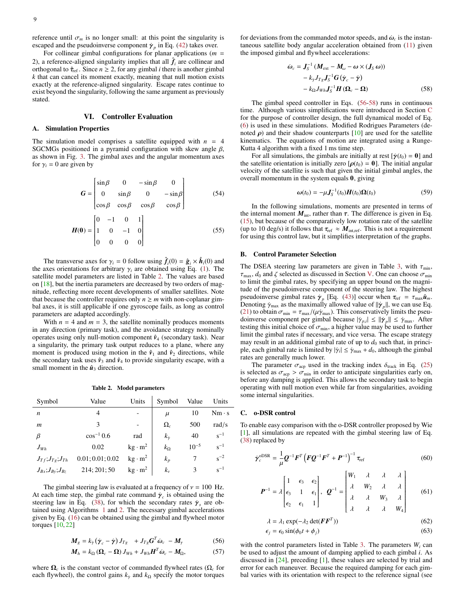reference until  $\sigma_m$  is no longer small: at this point the singularity is escaped and the pseudoinverse component  $\gamma_p$  in Eq. [\(42\)](#page-7-6) takes over.<br>For collinear gimbal configurations for planar applications (*m* 

For collinear gimbal configurations for planar applications (*m* = 2), a reference-aligned singularity implies that all  $\hat{f}_i$  are collinear and orthogonal to  $\hat{\tau}_{ref}$ . Since  $n \geq 2$ , for any gimbal *i* there is another gimbal *k* that can cancel its moment exactly, meaning that null motion exists exactly at the reference-aligned singularity. Escape rates continue to exist beyond the singularity, following the same argument as previously stated.

# VI. Controller Evaluation

# <span id="page-9-0"></span>A. Simulation Properties

The simulation model comprises a satellite equipped with  $n = 4$ SGCMGs positioned in a pyramid configuration with skew angle  $\beta$ , as shown in Fig. [3.](#page-7-1) The gimbal axes and the angular momentum axes for  $\gamma_i = 0$  are given by

$$
G = \begin{bmatrix} \sin \beta & 0 & -\sin \beta & 0 \\ 0 & \sin \beta & 0 & -\sin \beta \\ \cos \beta & \cos \beta & \cos \beta & \cos \beta \end{bmatrix}
$$
 (54)

$$
H(0) = \begin{bmatrix} 0 & -1 & 0 & 1 \\ 1 & 0 & -1 & 0 \\ 0 & 0 & 0 & 0 \end{bmatrix}
$$
 (55)

The transverse axes for  $\gamma_i = 0$  follow using  $\hat{f}_i(0) = \hat{g}_i \times \hat{h}_i(0)$  and axes orientations for arbitrary  $\gamma_i$  are obtained using Eq. (1). The the axes orientations for arbitrary  $\gamma_i$  are obtained using Eq. [\(1\)](#page-2-2). The satellite model parameters are listed in Table [2.](#page-9-1) The values are based on  $[18]$ , but the inertia parameters are decreased by two orders of magnitude, reflecting more recent developments of smaller satellites. Note that because the controller requires only  $n \ge m$  with non-coplanar gimbal axes, it is still applicable if one gyroscope fails, as long as control parameters are adapted accordingly.

With  $n = 4$  and  $m = 3$ , the satellite nominally produces moments in any direction (primary task), and the avoidance strategy nominally operates using only null-motion component  $\hat{v}_4$  (secondary task). Near a singularity, the primary task output reduces to a plane, where any moment is produced using motion in the  $\hat{v}_1$  and  $\hat{v}_2$  directions, while the secondary task uses  $\hat{v}_3$  and  $\hat{v}_4$  to provide singularity escape, with a small moment in the  $\hat{u}_3$  direction.

#### Table 2. Model parameters

<span id="page-9-1"></span>

| Symbol                         | Value            | Units                    | Symbol          | Value     | Units        |
|--------------------------------|------------------|--------------------------|-----------------|-----------|--------------|
| $\boldsymbol{n}$               | 4                |                          | $\mu$           | 10        | $Nm \cdot s$ |
| $\boldsymbol{m}$               | 3                | $\overline{\phantom{0}}$ | $\Omega_c$      | 500       | rad/s        |
| β                              | $\cos^{-1} 0.6$  | rad                      | $k_{\dot{\nu}}$ | 40        | $s^{-1}$     |
| $J_{Wh}$                       | 0.02             | $kg \cdot m^2$           | $k_{\Omega}$    | $10^{-5}$ | $s^{-1}$     |
| $J_{Tf}$ ; $J_{Tg}$ ; $J_{Th}$ | 0.01; 0.01; 0.02 | $kg \cdot m^2$           | $k_p$           |           | $s^{-2}$     |
| $J_{Bx};J_{By};J_{Bz}$         | 214; 201; 50     | $kg \cdot m^2$           | $k_{v}$         | 3         | $s^{-1}$     |

The gimbal steering law is evaluated at a frequency of  $v = 100$  Hz. At each time step, the gimbal rate command  $\dot{\gamma}_c$  is obtained using the steering law in Eq. (38) for which the secondary rates  $\dot{\gamma}$  are ob-steering law in Eq. [\(38\)](#page-6-2), for which the secondary rates  $\dot{\gamma}_s$  are obtained using Algorithms 1 and 2. The necessary gimbal accelerations tained using Algorithms [1](#page-8-6) and [2.](#page-8-4) The necessary gimbal accelerations given by Eq. [\(16\)](#page-3-7) can be obtained using the gimbal and flywheel motor torques [\[10,](#page-13-9) [22\]](#page-13-21)

$$
M_g = k_y \left( \dot{\gamma}_c - \dot{\gamma} \right) J_{Tg} + J_{Tg} G^T \dot{\omega}_c - M_\gamma \tag{56}
$$

$$
\boldsymbol{M}_{h} = k_{\Omega} \left( \boldsymbol{\Omega}_{c} - \boldsymbol{\Omega} \right) \boldsymbol{J}_{Wh} + \boldsymbol{J}_{Wh} \boldsymbol{H}^{T} \dot{\boldsymbol{\omega}}_{c} - \boldsymbol{M}_{\Omega}, \tag{57}
$$

where  $\Omega_c$  is the constant vector of commanded flywheel rates ( $\Omega_c$  for each flywheel), the control gains  $k<sub>y</sub>$  and  $k<sub>Ω</sub>$  specify the motor torques

for deviations from the commanded motor speeds, and  $\dot{\omega}_c$  is the instantaneous satellite body angular acceleration obtained from (11) given taneous satellite body angular acceleration obtained from [\(11\)](#page-3-4) given the imposed gimbal and flywheel accelerations:

<span id="page-9-3"></span>
$$
\dot{\omega}_c = J_S^{-1} \left( M_{ext} - M_\omega - \omega \times (J_S \omega) \right)
$$

$$
- k_y J_{Ts} J_S^{-1} G \left( \dot{\gamma}_c - \dot{\gamma} \right)
$$

$$
- k_\Omega J_{Wh} J_S^{-1} H \left( \Omega_c - \Omega \right) \tag{58}
$$

The gimbal speed controller in Eqs. [\(56-](#page-9-2)[58\)](#page-9-3) runs in continuous time. Although various simplifications were introduced in Section [C](#page-3-8) for the purpose of controller design, the full dynamical model of Eq. [\(6\)](#page-3-3) is used in these simulations. Modified Rodrigues Parameters (denoted  $\rho$ ) and their shadow counterparts [\[10\]](#page-13-9) are used for the satellite kinematics. The equations of motion are integrated using a Runge-Kutta 4 algorithm with a fixed 1 ms time step.

For all simulations, the gimbals are initially at rest  $[\dot{\gamma}(t_0) = 0]$  and the satellite orientation is initially zero  $[\rho(t_0) = \mathbf{0}]$ . The initial angular velocity of the satellite is such that given the initial gimbal angles, the overall momentum in the system equals 0, giving

$$
\omega(t_0) = -\mu \boldsymbol{J}_S^{-1}(t_0) \boldsymbol{H}(t_0) \Omega(t_0)
$$
\n(59)

In the following simulations, moments are presented in terms of the internal moment  $M_{\text{int}}$ , rather than  $\tau$ . The difference is given in Eq. [\(15\)](#page-3-9), but because of the comparatively low rotation rate of the satellite (up to 10 deg/s) it follows that  $\tau_{ref} \approx M_{\text{int,ref}}$ . This is not a requirement for using this control law, but it simplifies interpretation of the graphs.

# B. Control Parameter Selection

The DSEA steering law parameters are given in Table [3,](#page-10-0) with  $\tau_{\text{min}}$ ,  $\tau_{\text{max}}$ ,  $d_0$  and  $\zeta$  selected as discussed in Section [V.](#page-7-0) One can choose  $\sigma_{\text{min}}$ to limit the gimbal rates, by specifying an upper bound on the magnitude of the pseudoinverse component of the steering law. The highest pseudoinverse gimbal rates  $\dot{\gamma}_p$  [Eq. [\(43\)](#page-7-7)] occur when  $\tau_{ref} = \tau_{max}\hat{u}_m$ .<br>Denoting  $\dot{\gamma}_{max}$  as the maximally allowed value of  $||\dot{\gamma}||$  we can use Eq. Denoting  $\dot{\gamma}_{\text{max}}$  as the maximally allowed value of  $||\dot{\gamma}_p||$ , we can use Eq. (21) to obtain  $\sigma_{\text{min}} = \tau_{\text{max}}/(U\dot{\gamma}_{\text{max}})$ . This conservatively limits the nseu-[\(21\)](#page-4-5) to obtain  $\sigma_{\min} = \tau_{\max}/(\mu \dot{\gamma}_{\max})$ . This conservatively limits the pseudoinverse component per gimbal because  $|\dot{\gamma}_{p,i}| \leq ||\dot{\gamma}_p|| \leq \dot{\gamma}_{\text{max}}$ . After testing this initial choice of  $\sigma_{\text{min}}$ , a higher value may be used to further testing this initial choice of  $\sigma_{min}$ , a higher value may be used to further limit the gimbal rates if necessary and vice versa. The escape strategy limit the gimbal rates if necessary, and vice versa. The escape strategy may result in an additional gimbal rate of up to  $d_0$  such that, in principle, each gimbal rate is limited by  $|\dot{\gamma}_i| \leq \dot{\gamma}_{\text{max}} + d_0$ , although the gimbal rates are generally much lower rates are generally much lower.

The parameter  $\sigma_{\text{acp}}$  used in the tracking index  $\delta_{\text{track}}$  in Eq. [\(25\)](#page-4-3) is selected as  $\sigma_{\text{acp}} > \sigma_{\text{min}}$  in order to anticipate singularities early on, before any damping is applied. This allows the secondary task to begin operating with null motion even while far from singularities, avoiding some internal singularities.

# C. o-DSR control

To enable easy comparison with the o-DSR controller proposed by Wie [\[1\]](#page-13-0), all simulations are repeated with the gimbal steering law of Eq. [\(38\)](#page-6-2) replaced by

$$
\dot{\boldsymbol{\gamma}}_c^{\text{ODSR}} = \frac{1}{\mu} \boldsymbol{Q}^{-1} \boldsymbol{F}^T \left( \boldsymbol{F} \boldsymbol{Q}^{-1} \boldsymbol{F}^T + \boldsymbol{P}^{-1} \right)^{-1} \boldsymbol{\tau}_{\text{ref}}
$$
(60)

<span id="page-9-4"></span>
$$
\boldsymbol{P}^{-1} = \lambda \begin{bmatrix} 1 & \epsilon_3 & \epsilon_2 \\ \epsilon_3 & 1 & \epsilon_1 \\ \epsilon_2 & \epsilon_1 & 1 \end{bmatrix}, \quad \boldsymbol{Q}^{-1} = \begin{bmatrix} W_1 & \lambda & \lambda & \lambda \\ \lambda & W_2 & \lambda & \lambda \\ \lambda & \lambda & W_3 & \lambda \\ \lambda & \lambda & \lambda & W_4 \end{bmatrix} \tag{61}
$$

$$
\lambda = \lambda_1 \exp(-\lambda_2 \det(\mathbf{F}\mathbf{F}^T))
$$
 (62)

$$
\epsilon_j = \epsilon_0 \sin(\phi_0 t + \phi_j) \tag{63}
$$

<span id="page-9-2"></span>with the control parameters listed in Table [3.](#page-10-0) The parameters *W<sup>i</sup>* can be used to adjust the amount of damping applied to each gimbal *i*. As discussed in [\[24\]](#page-13-23), preceding [\[1\]](#page-13-0), these values are selected by trial and error for each maneuver. Because the required damping for each gimbal varies with its orientation with respect to the reference signal (see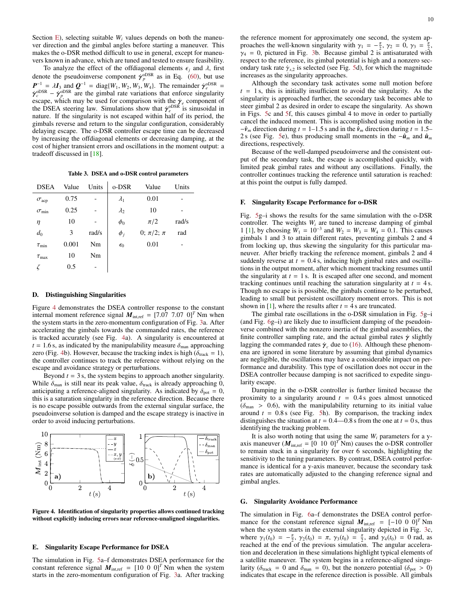Section [E\)](#page-5-6), selecting suitable  $W_i$  values depends on both the maneuver direction and the gimbal angles before starting a maneuver. This makes the o-DSR method difficult to use in general, except for maneuvers known in advance, which are tuned and tested to ensure feasibility.

To analyze the effect of the offdiagonal elements  $\epsilon_i$  and  $\lambda$ , first denote the pseudoinverse component  $\dot{\gamma}_p^{\text{obsR}}$  as in Eq. [\(60\)](#page-9-4), but use  $P^{-1} = M$  and  $Q^{-1} = \text{diag}(W_1 W_2 W_3 W_4 W_5)$ . The remainder  $\dot{\gamma}_p^{\text{obsR}}$  $P^{-1} = \lambda I_3$  and  $Q^{-1} = \text{diag}\{W_1, W_2, W_3, W_4\}$ . The remainder  $\dot{\gamma}_e^{\text{ODSR}} = \dot{\gamma}^{\text{ODSR}}$  are the gimbal rate variations that enforce singularity  $\dot{\gamma}_{c}^{\text{ODSR}} - \dot{\gamma}_{p}^{\text{ODSR}}$  are the gimbal rate variations that enforce singularity<br>escape which may be used for comparison with the  $\dot{\gamma}_{c}$  component of escape, which may be used for comparison with the  $\dot{\gamma}_e$  component of the DSEA steering law. Simulations show that  $\dot{\gamma}^{\text{obs}R}$  is sinusoidal in the DSEA steering law. Simulations show that  $\dot{\gamma}_e^{oDSR}$  is sinusoidal in nature. If the sinual prior is not escaped within half of its period, the nature. If the singularity is not escaped within half of its period, the gimbals reverse and return to the singular configuration, considerably delaying escape. The o-DSR controller escape time can be decreased by increasing the offdiagonal elements or decreasing damping, at the cost of higher transient errors and oscillations in the moment output: a tradeoff discussed in [\[18\]](#page-13-17).

Table 3. DSEA and o-DSR control parameters

<span id="page-10-0"></span>

| <b>DSEA</b>         | Value | Units | o-DSR        | Value              | Units |
|---------------------|-------|-------|--------------|--------------------|-------|
| $\sigma_{\rm acp}$  | 0.75  |       | $\lambda_1$  | 0.01               |       |
| $\sigma_{\min}$     | 0.25  |       | $\lambda_2$  | 10                 |       |
| η                   | 10    |       | $\phi_0$     | $\pi/2$            | rad/s |
| $d_0$               | 3     | rad/s | $\phi_j$     | 0; $\pi/2$ ; $\pi$ | rad   |
| $\tau_{\rm min}$    | 0.001 | Nm    | $\epsilon_0$ | 0.01               |       |
| $\tau_{\text{max}}$ | 10    | Nm    |              |                    |       |
|                     | 0.5   |       |              |                    |       |
|                     |       |       |              |                    |       |

## D. Distinguishing Singularities

Figure [4](#page-10-1) demonstrates the DSEA controller response to the constant internal moment reference signal  $M_{\text{inter}} = [7.07 \ 7.07 \ 0]^T$  Nm when the system starts in the zero-momentum configuration of Fig. [3a](#page-7-1). After accelerating the gimbals towards the commanded rates, the reference is tracked accurately (see Fig. [4a](#page-10-1)). A singularity is encountered at  $t = 1.6$  s, as indicated by the manipulability measure  $\delta_{\text{man}}$  approaching zero (Fig. [4b](#page-10-1)). However, because the tracking index is high ( $\delta_{\text{track}} = 1$ ), the controller continues to track the reference without relying on the escape and avoidance strategy or perturbations.

Beyond  $t = 3$  s, the system begins to approach another singularity. While  $\delta_{\text{man}}$  is still near its peak value,  $\delta_{\text{track}}$  is already approaching 0, anticipating a reference-aligned singularity. As indicated by  $\delta_{\text{pot}} = 0$ , this is a saturation singularity in the reference direction. Because there is no escape possible outwards from the external singular surface, the pseudoinverse solution is damped and the escape strategy is inactive in order to avoid inducing perturbations.



Figure 4. Identification of singularity properties allows continued tracking without explicitly inducing errors near reference-unaligned singularities.

#### E. Singularity Escape Performance for DSEA

The simulation in Fig. [5a](#page-11-0)–f demonstrates DSEA performance for the constant reference signal  $M_{\text{int,ref}} = [10 \ 0 \ 0]^T \text{Nm}$  when the system starts in the zero-momentum configuration of Fig. [3a](#page-7-1). After tracking the reference moment for approximately one second, the system approaches the well-known singularity with  $\gamma_1 = -\frac{\pi}{2}$ ,  $\gamma_2 = 0$ ,  $\gamma_3 = \frac{\pi}{2}$ ,  $\gamma_4 = 0$  pictured in Fig. 3b. Because gimbal 2 is antisaturated with  $\gamma_4 = 0$ , pictured in Fig. [3b](#page-7-1). Because gimbal 2 is antisaturated with respect to the reference, its gimbal potential is high and a nonzero secondary task rate  $\dot{\gamma}_{s,2}$  is selected (see Fig. [5d](#page-11-0)), for which the magnitude increases as the singularity approaches.

Although the secondary task activates some null motion before  $t = 1$  s, this is initially insufficient to avoid the singularity. As the singularity is approached further, the secondary task becomes able to steer gimbal 2 as desired in order to escape the singularity. As shown in Figs. [5c](#page-11-0) and [5f](#page-11-0), this causes gimbal 4 to move in order to partially cancel the induced moment. This is accomplished using motion in the  $-\hat{v}_m$  direction during  $t = 1-1.5$  s and in the  $\hat{v}_m$  direction during  $t = 1.5-$ 2 s (see Fig. [5e](#page-11-0)), thus producing small moments in the  $-\hat{u}_m$  and  $\hat{u}_m$ directions, respectively.

Because of the well-damped pseudoinverse and the consistent output of the secondary task, the escape is accomplished quickly, with limited peak gimbal rates and without any oscillations. Finally, the controller continues tracking the reference until saturation is reached: at this point the output is fully damped.

# F. Singularity Escape Performance for o-DSR

Fig. [5g](#page-11-0)–i shows the results for the same simulation with the o-DSR controller. The weights  $W_i$  are tuned to increase damping of gimbal 1 [\[1\]](#page-13-0), by choosing  $W_1 = 10^{-3}$  and  $W_2 = W_3 = W_4 = 0.1$ . This causes vimbals 1 and 3 to attain different rates preventing gimbals 2 and 4 gimbals 1 and 3 to attain different rates, preventing gimbals 2 and 4 from locking up, thus skewing the singularity for this particular maneuver. After briefly tracking the reference moment, gimbals 2 and 4 suddenly reverse at  $t = 0.4$  s, inducing high gimbal rates and oscillations in the output moment, after which moment tracking resumes until the singularity at  $t = 1$  s. It is escaped after one second, and moment tracking continues until reaching the saturation singularity at  $t = 4$  s. Though no escape is is possible, the gimbals continue to be perturbed, leading to small but persistent oscillatory moment errors. This is not shown in [\[1\]](#page-13-0), where the results after  $t = 4$  s are truncated.

The gimbal rate oscillations in the o-DSR simulation in Fig. [5g](#page-11-0)–i (and Fig. [6g](#page-12-0)–i) are likely due to insufficient damping of the pseudoinverse combined with the nonzero inertia of the gimbal assemblies, the finite controller sampling rate, and the actual gimbal rates  $\dot{\gamma}$  slightly lagging the commanded rates  $\gamma_c$  due to [\(16\)](#page-3-7). Although these phenomena are ignored in some literature by assuming that gimbal dynamics are negligible, the oscillations may have a considerable impact on performance and durability. This type of oscillation does not occur in the DSEA controller because damping is not sacrificed to expedite singularity escape.

Damping in the o-DSR controller is further limited because the proximity to a singularity around  $t = 0.4$  s goes almost unnoticed  $(\delta_{\text{man}} > 0.6)$ , with the manipulability returning to its initial value around  $t = 0.8$  s (see Fig. [5h](#page-11-0)). By comparison, the tracking index distinguishes the situation at  $t = 0.4$ —0.8 s from the one at  $t = 0$  s, thus identifying the tracking problem.

It is also worth noting that using the same *W<sup>i</sup>* parameters for a yaxis maneuver ( $M_{\text{int,ref}} = [0 \ 10 \ 0]^T \text{Nm}$ ) causes the o-DSR controller to remain stuck in a singularity for over 6 seconds, highlighting the sensitivity to the tuning parameters. By contrast, DSEA control performance is identical for a y-axis maneuver, because the secondary task rates are automatically adjusted to the changing reference signal and gimbal angles.

# <span id="page-10-1"></span>G. Singularity Avoidance Performance

The simulation in Fig. [6a](#page-12-0)–f demonstrates the DSEA control performance for the constant reference signal  $M_{\text{interf}} = [-10 \ 0 \ 0]^T$  Nm when the system starts in the external singularity depicted in Fig. [3c](#page-7-1), where  $\gamma_1(t_0) = -\frac{\pi}{2}$ ,  $\gamma_2(t_0) = \pi$ ,  $\gamma_3(t_0) = \frac{\pi}{2}$ , and  $\gamma_4(t_0) = 0$  rad, as reached at the end of the previous simulation. The angular accelerareached at the end of the previous simulation. The angular acceleration and deceleration in these simulations highlight typical elements of a satellite maneuver. The system begins in a reference-aligned singularity ( $\delta_{\text{track}} = 0$  and  $\delta_{\text{man}} = 0$ ), but the nonzero potential ( $\delta_{\text{pot}} > 0$ ) indicates that escape in the reference direction is possible. All gimbals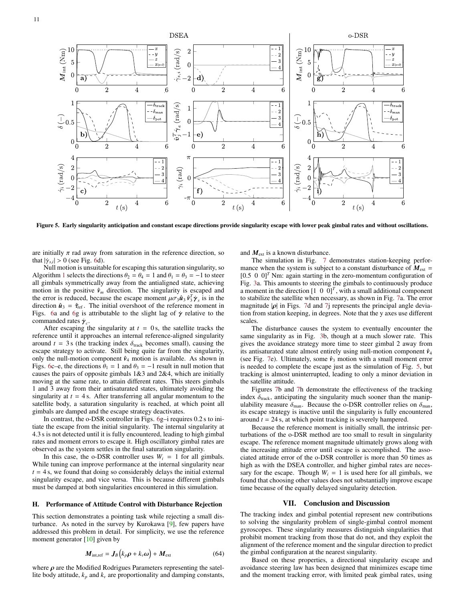

Figure 5. Early singularity anticipation and constant escape directions provide singularity escape with lower peak gimbal rates and without oscillations.

are initially  $\pi$  rad away from saturation in the reference direction, so that  $|\dot{\gamma}_{s,i}| > 0$  (see Fig. [6d](#page-12-0)).<br>
Null motion is unsuitable.

Null motion is unsuitable for escaping this saturation singularity, so Algorithm [1](#page-8-6) selects the directions  $\theta_2 = \theta_4 = 1$  and  $\theta_1 = \theta_3 = -1$  to steer all gimbals symmetrically away from the antialigned state, achieving motion in the positive  $\hat{v}_m$  direction. The singularity is escaped and the error is reduced, because the escape moment  $\mu \sigma_3 \hat{\mathbf{i}}_3 \hat{\mathbf{v}}_3^T \dot{\mathbf{y}}_s$  is in the direction  $\hat{\mathbf{i}}_2 = \hat{\mathbf{z}}_{-s}$ . The initial overshoot of the reference moment in direction  $\hat{\mathbf{u}}_3 = \hat{\tau}_{ref}$ . The initial overshoot of the reference moment in Figs. [6a](#page-12-0) and [6g](#page-12-0) is attributable to the slight lag of  $\dot{\gamma}$  relative to the commanded rates  $\dot{\gamma}_c$ .<br>After escaping the

After escaping the singularity at  $t = 0$  s, the satellite tracks the reference until it approaches an internal reference-aligned singularity around  $t = 3$  s (the tracking index  $\delta_{\text{track}}$  becomes small), causing the escape strategy to activate. Still being quite far from the singularity, only the null-motion component  $\hat{v}_4$  motion is available. As shown in Figs. [6c](#page-12-0)–e, the directions  $\theta_1 = 1$  and  $\theta_3 = -1$  result in null motion that causes the pairs of opposite gimbals  $1&3$  and  $2&4$ , which are initially moving at the same rate, to attain different rates. This steers gimbals 1 and 3 away from their antisaturated states, ultimately avoiding the singularity at  $t = 4$  s. After transferring all angular momentum to the satellite body, a saturation singularity is reached, at which point all gimbals are damped and the escape strategy deactivates.

In contrast, the o-DSR controller in Figs. [6g](#page-12-0)–i requires <sup>0</sup>.2 s to initiate the escape from the initial singularity. The internal singularity at <sup>4</sup>.3 s is not detected until it is fully encountered, leading to high gimbal rates and moment errors to escape it. High oscillatory gimbal rates are observed as the system settles in the final saturation singularity.

In this case, the o-DSR controller uses  $W_i = 1$  for all gimbals. While tuning can improve performance at the internal singularity near  $t = 4$  s, we found that doing so considerably delays the initial external singularity escape, and vice versa. This is because different gimbals must be damped at both singularities encountered in this simulation.

## H. Performance of Attitude Control with Disturbance Rejection

This section demonstrates a pointing task while rejecting a small disturbance. As noted in the survey by Kurokawa [\[9\]](#page-13-8), few papers have addressed this problem in detail. For simplicity, we use the reference moment generator [\[10\]](#page-13-9) given by

$$
\boldsymbol{M}_{\text{int,ref}} = \boldsymbol{J}_{B} \left( k_{p} \boldsymbol{\rho} + k_{v} \boldsymbol{\omega} \right) + \boldsymbol{M}_{\text{ext}} \tag{64}
$$

where  $\rho$  are the Modified Rodrigues Parameters representing the satellite body attitude,  $k_p$  and  $k_v$  are proportionality and damping constants,

<span id="page-11-0"></span>and *M*ext is a known disturbance.

The simulation in Fig. [7](#page-12-1) demonstrates station-keeping performance when the system is subject to a constant disturbance of  $M_{\text{ext}} =$  $[0.5 \ 0 \ 0]^T$  Nm: again starting in the zero-momentum configuration of Fig. [3a](#page-7-1). This amounts to steering the gimbals to continuously produce a moment in the direction  $[1 \ 0 \ 0]^T$ , with a small additional component to stabilize the satellite when necessary, as shown in Fig. [7a](#page-12-1). The error magnitude  $|\rho|$  in Figs. [7d](#page-12-1) and [7j](#page-12-1) represents the principal angle deviation from station keeping, in degrees. Note that the y axes use different scales.

The disturbance causes the system to eventually encounter the same singularity as in Fig. [3b](#page-7-1), though at a much slower rate. This gives the avoidance strategy more time to steer gimbal 2 away from its antisaturated state almost entirely using null-motion component *v*ˆ<sup>4</sup> (see Fig. [7e](#page-12-1)). Ultimately, some  $\hat{v}_3$  motion with a small moment error is needed to complete the escape just as the simulation of Fig. [5,](#page-11-0) but tracking is almost uninterrupted, leading to only a minor deviation in the satellite attitude.

Figures [7b](#page-12-1) and [7h](#page-12-1) demonstrate the effectiveness of the tracking index  $\delta_{\text{track}}$ , anticipating the singularity much sooner than the manipulability measure  $\delta_{\text{man}}$ . Because the o-DSR controller relies on  $\delta_{\text{man}}$ , its escape strategy is inactive until the singularity is fully encountered around *t* = 24 s, at which point tracking is severely hampered.

Because the reference moment is initially small, the intrinsic perturbations of the o-DSR method are too small to result in singularity escape. The reference moment magnitude ultimately grows along with the increasing attitude error until escape is accomplished. The associated attitude error of the o-DSR controller is more than 50 times as high as with the DSEA controller, and higher gimbal rates are necessary for the escape. Though  $W_i = 1$  is used here for all gimbals, we found that choosing other values does not substantially improve escape time because of the equally delayed singularity detection.

## VII. Conclusion and Discussion

The tracking index and gimbal potential represent new contributions to solving the singularity problem of single-gimbal control moment gyroscopes. These singularity measures distinguish singularities that prohibit moment tracking from those that do not, and they exploit the alignment of the reference moment and the singular direction to predict the gimbal configuration at the nearest singularity.

Based on these properties, a directional singularity escape and avoidance steering law has been designed that minimizes escape time and the moment tracking error, with limited peak gimbal rates, using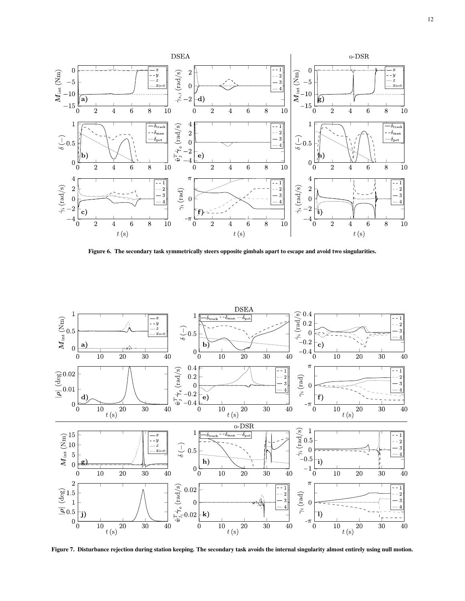

<span id="page-12-0"></span>Figure 6. The secondary task symmetrically steers opposite gimbals apart to escape and avoid two singularities.



<span id="page-12-1"></span>Figure 7. Disturbance rejection during station keeping. The secondary task avoids the internal singularity almost entirely using null motion.